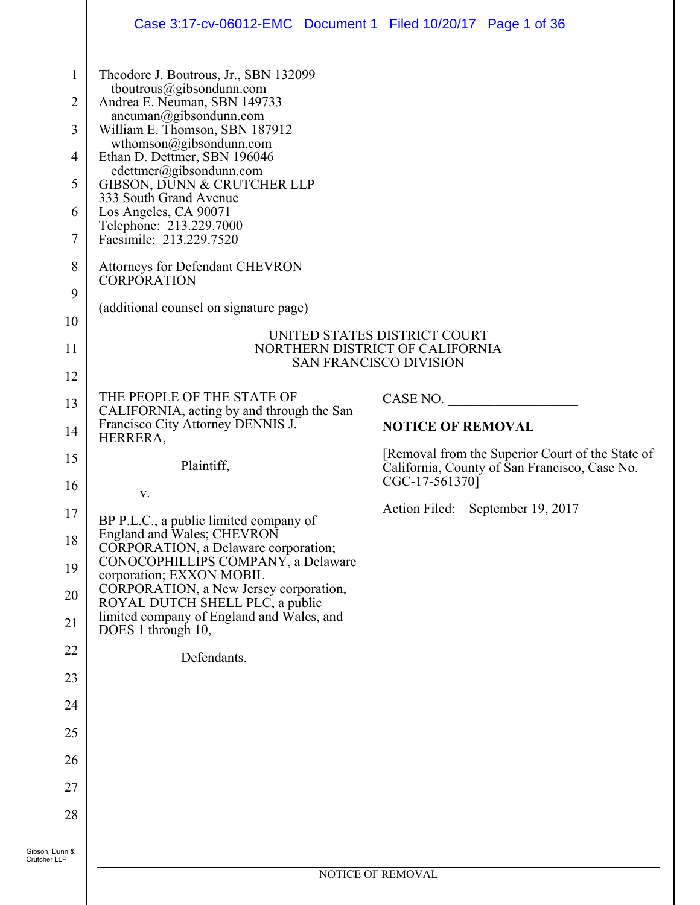|                                                         | Case 3:17-cv-06012-EMC Document 1 Filed 10/20/17 Page 1 of 36                                                                                                                                                            |                                                                                                                     |  |  |
|---------------------------------------------------------|--------------------------------------------------------------------------------------------------------------------------------------------------------------------------------------------------------------------------|---------------------------------------------------------------------------------------------------------------------|--|--|
| 1<br>$\overline{2}$<br>$\mathfrak{Z}$<br>$\overline{4}$ | Theodore J. Boutrous, Jr., SBN 132099<br>tboutrous@gibsondunn.com<br>Andrea E. Neuman, SBN 149733<br>aneuman@gibsondunn.com<br>William E. Thomson, SBN 187912<br>wthomson@gibsondunn.com<br>Ethan D. Dettmer, SBN 196046 |                                                                                                                     |  |  |
| 5<br>6                                                  | edettmer@gibsondunn.com<br>GIBSON, DUNN & CRUTCHER LLP<br>333 South Grand Avenue<br>Los Angeles, CA 90071                                                                                                                |                                                                                                                     |  |  |
| 7                                                       | Telephone: 213.229.7000<br>Facsimile: 213.229.7520                                                                                                                                                                       |                                                                                                                     |  |  |
| 8                                                       | Attorneys for Defendant CHEVRON<br>CORPORATION                                                                                                                                                                           |                                                                                                                     |  |  |
| 9<br>10                                                 | (additional counsel on signature page)                                                                                                                                                                                   |                                                                                                                     |  |  |
| 11                                                      | UNITED STATES DISTRICT COURT<br>NORTHERN DISTRICT OF CALIFORNIA<br><b>SAN FRANCISCO DIVISION</b>                                                                                                                         |                                                                                                                     |  |  |
| 12                                                      |                                                                                                                                                                                                                          |                                                                                                                     |  |  |
| 13                                                      | THE PEOPLE OF THE STATE OF<br>CALIFORNIA, acting by and through the San                                                                                                                                                  | CASE NO.                                                                                                            |  |  |
| 14                                                      | Francisco City Attorney DENNIS J.<br>HERRERA,                                                                                                                                                                            | <b>NOTICE OF REMOVAL</b>                                                                                            |  |  |
| 15<br>16                                                | Plaintiff,                                                                                                                                                                                                               | [Removal from the Superior Court of the State of<br>California, County of San Francisco, Case No.<br>CGC-17-561370] |  |  |
| $17\,$                                                  | V.                                                                                                                                                                                                                       | Action Filed: September 19, 2017                                                                                    |  |  |
| 18                                                      | BP P.L.C., a public limited company of<br>England and Wales; CHEVRON                                                                                                                                                     |                                                                                                                     |  |  |
| 19                                                      | CORPORATION, a Delaware corporation;<br>CONOCOPHILLIPS COMPANY, a Delaware<br>corporation; EXXON MOBIL                                                                                                                   |                                                                                                                     |  |  |
| 20                                                      | CORPORATION, a New Jersey corporation,<br>ROYAL DUTCH SHELL PLC, a public                                                                                                                                                |                                                                                                                     |  |  |
| 21                                                      | limited company of England and Wales, and<br>DOES 1 through 10,                                                                                                                                                          |                                                                                                                     |  |  |
| 22                                                      | Defendants.                                                                                                                                                                                                              |                                                                                                                     |  |  |
| 23                                                      |                                                                                                                                                                                                                          |                                                                                                                     |  |  |
| 24                                                      |                                                                                                                                                                                                                          |                                                                                                                     |  |  |
| 25                                                      |                                                                                                                                                                                                                          |                                                                                                                     |  |  |
| 26                                                      |                                                                                                                                                                                                                          |                                                                                                                     |  |  |
| 27                                                      |                                                                                                                                                                                                                          |                                                                                                                     |  |  |
| 28                                                      |                                                                                                                                                                                                                          |                                                                                                                     |  |  |
| Gibson, Dunn &<br>Crutcher LLP                          |                                                                                                                                                                                                                          |                                                                                                                     |  |  |
|                                                         | NOTICE OF REMOVAL                                                                                                                                                                                                        |                                                                                                                     |  |  |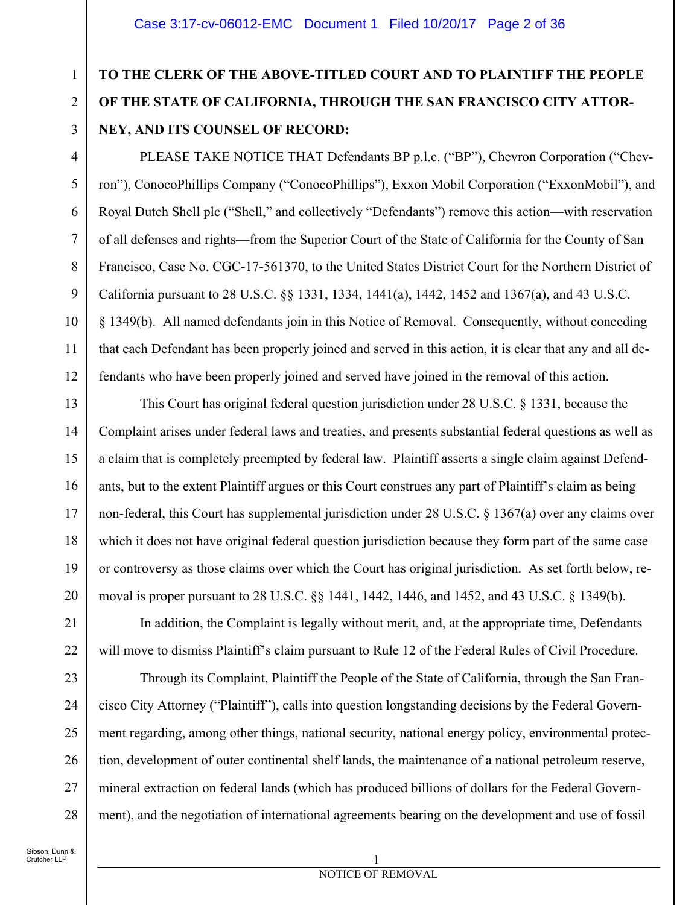# **TO THE CLERK OF THE ABOVE-TITLED COURT AND TO PLAINTIFF THE PEOPLE OF THE STATE OF CALIFORNIA, THROUGH THE SAN FRANCISCO CITY ATTOR-NEY, AND ITS COUNSEL OF RECORD:**

PLEASE TAKE NOTICE THAT Defendants BP p.l.c. ("BP"), Chevron Corporation ("Chevron"), ConocoPhillips Company ("ConocoPhillips"), Exxon Mobil Corporation ("ExxonMobil"), and Royal Dutch Shell plc ("Shell," and collectively "Defendants") remove this action—with reservation of all defenses and rights—from the Superior Court of the State of California for the County of San Francisco, Case No. CGC-17-561370, to the United States District Court for the Northern District of California pursuant to 28 U.S.C. §§ 1331, 1334, 1441(a), 1442, 1452 and 1367(a), and 43 U.S.C. § 1349(b). All named defendants join in this Notice of Removal. Consequently, without conceding that each Defendant has been properly joined and served in this action, it is clear that any and all defendants who have been properly joined and served have joined in the removal of this action.

13 14 15 16 17 18 19 20 This Court has original federal question jurisdiction under 28 U.S.C. § 1331, because the Complaint arises under federal laws and treaties, and presents substantial federal questions as well as a claim that is completely preempted by federal law. Plaintiff asserts a single claim against Defendants, but to the extent Plaintiff argues or this Court construes any part of Plaintiff's claim as being non-federal, this Court has supplemental jurisdiction under 28 U.S.C. § 1367(a) over any claims over which it does not have original federal question jurisdiction because they form part of the same case or controversy as those claims over which the Court has original jurisdiction. As set forth below, removal is proper pursuant to 28 U.S.C. §§ 1441, 1442, 1446, and 1452, and 43 U.S.C. § 1349(b).

In addition, the Complaint is legally without merit, and, at the appropriate time, Defendants will move to dismiss Plaintiff's claim pursuant to Rule 12 of the Federal Rules of Civil Procedure.

Through its Complaint, Plaintiff the People of the State of California, through the San Francisco City Attorney ("Plaintiff"), calls into question longstanding decisions by the Federal Government regarding, among other things, national security, national energy policy, environmental protection, development of outer continental shelf lands, the maintenance of a national petroleum reserve, mineral extraction on federal lands (which has produced billions of dollars for the Federal Government), and the negotiation of international agreements bearing on the development and use of fossil

1

2

3

4

5

6

7

8

9

10

11

12

21

22

23

24

25

26

27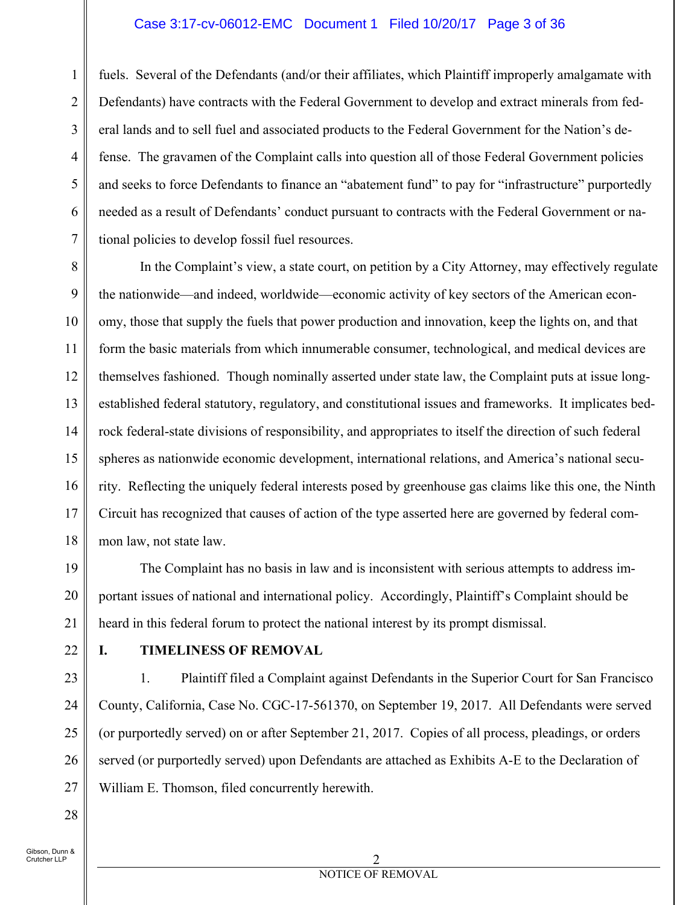### Case 3:17-cv-06012-EMC Document 1 Filed 10/20/17 Page 3 of 36

5 6 7 fuels. Several of the Defendants (and/or their affiliates, which Plaintiff improperly amalgamate with Defendants) have contracts with the Federal Government to develop and extract minerals from federal lands and to sell fuel and associated products to the Federal Government for the Nation's defense. The gravamen of the Complaint calls into question all of those Federal Government policies and seeks to force Defendants to finance an "abatement fund" to pay for "infrastructure" purportedly needed as a result of Defendants' conduct pursuant to contracts with the Federal Government or national policies to develop fossil fuel resources.

8 9 10 11 12 13 14 15 16 17 18 In the Complaint's view, a state court, on petition by a City Attorney, may effectively regulate the nationwide—and indeed, worldwide—economic activity of key sectors of the American economy, those that supply the fuels that power production and innovation, keep the lights on, and that form the basic materials from which innumerable consumer, technological, and medical devices are themselves fashioned. Though nominally asserted under state law, the Complaint puts at issue longestablished federal statutory, regulatory, and constitutional issues and frameworks. It implicates bedrock federal-state divisions of responsibility, and appropriates to itself the direction of such federal spheres as nationwide economic development, international relations, and America's national security. Reflecting the uniquely federal interests posed by greenhouse gas claims like this one, the Ninth Circuit has recognized that causes of action of the type asserted here are governed by federal common law, not state law.

The Complaint has no basis in law and is inconsistent with serious attempts to address important issues of national and international policy. Accordingly, Plaintiff's Complaint should be heard in this federal forum to protect the national interest by its prompt dismissal.

22

19

20

21

1

2

3

4

#### **I. TIMELINESS OF REMOVAL**

23 24 25 26 27 1. Plaintiff filed a Complaint against Defendants in the Superior Court for San Francisco County, California, Case No. CGC-17-561370, on September 19, 2017. All Defendants were served (or purportedly served) on or after September 21, 2017. Copies of all process, pleadings, or orders served (or purportedly served) upon Defendants are attached as Exhibits A-E to the Declaration of William E. Thomson, filed concurrently herewith.

Gibson, Dunn & .<br>Crutcher LLP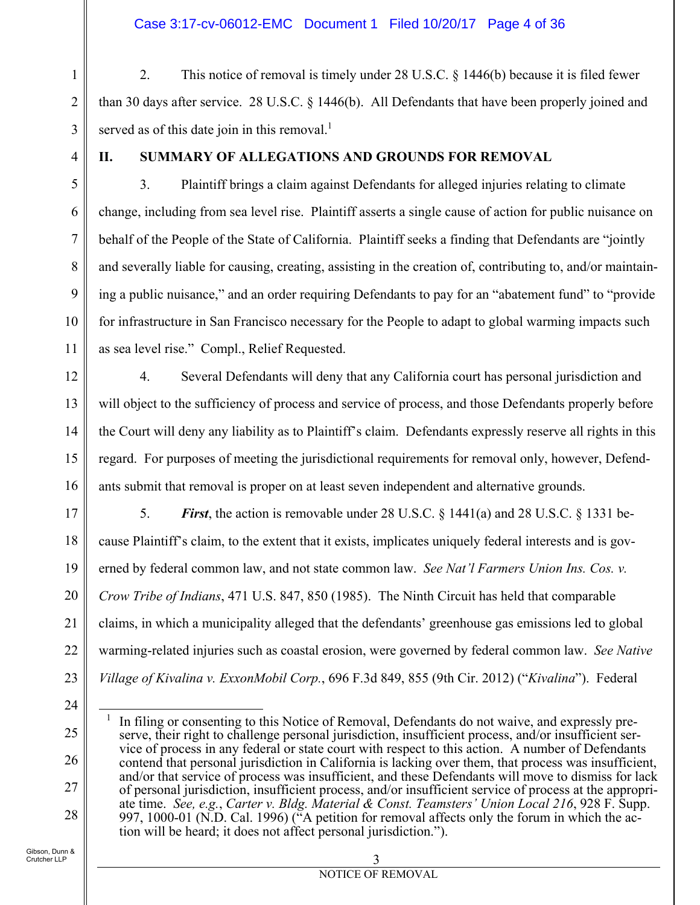1 2 3 2. This notice of removal is timely under 28 U.S.C. § 1446(b) because it is filed fewer than 30 days after service. 28 U.S.C. § 1446(b). All Defendants that have been properly joined and served as of this date join in this removal. $<sup>1</sup>$ </sup>

4

5

6

7

8

9

10

11

12

13

14

15

16

17

18

19

20

21

22

### **II. SUMMARY OF ALLEGATIONS AND GROUNDS FOR REMOVAL**

3. Plaintiff brings a claim against Defendants for alleged injuries relating to climate change, including from sea level rise. Plaintiff asserts a single cause of action for public nuisance on behalf of the People of the State of California. Plaintiff seeks a finding that Defendants are "jointly and severally liable for causing, creating, assisting in the creation of, contributing to, and/or maintaining a public nuisance," and an order requiring Defendants to pay for an "abatement fund" to "provide for infrastructure in San Francisco necessary for the People to adapt to global warming impacts such as sea level rise." Compl., Relief Requested.

4. Several Defendants will deny that any California court has personal jurisdiction and will object to the sufficiency of process and service of process, and those Defendants properly before the Court will deny any liability as to Plaintiff's claim. Defendants expressly reserve all rights in this regard. For purposes of meeting the jurisdictional requirements for removal only, however, Defendants submit that removal is proper on at least seven independent and alternative grounds.

5. *First*, the action is removable under 28 U.S.C. § 1441(a) and 28 U.S.C. § 1331 because Plaintiff's claim, to the extent that it exists, implicates uniquely federal interests and is governed by federal common law, and not state common law. *See Nat'l Farmers Union Ins. Cos. v. Crow Tribe of Indians*, 471 U.S. 847, 850 (1985). The Ninth Circuit has held that comparable claims, in which a municipality alleged that the defendants' greenhouse gas emissions led to global warming-related injuries such as coastal erosion, were governed by federal common law. *See Native Village of Kivalina v. ExxonMobil Corp.*, 696 F.3d 849, 855 (9th Cir. 2012) ("*Kivalina*"). Federal

23 24

25

26

27

28

Gibson, Dunn & Crutcher LLP

 $\overline{a}$ 1 In filing or consenting to this Notice of Removal, Defendants do not waive, and expressly preserve, their right to challenge personal jurisdiction, insufficient process, and/or insufficient service of process in any federal or state court with respect to this action. A number of Defendants contend that personal jurisdiction in California is lacking over them, that process was insufficient, and/or that service of process was insufficient, and these Defendants will move to dismiss for lack of personal jurisdiction, insufficient process, and/or insufficient service of process at the appropriate time. *See, e.g.*, *Carter v. Bldg. Material & Const. Teamsters' Union Local 216*, 928 F. Supp. 997, 1000-01 (N.D. Cal. 1996) ( $\tilde{A}$  petition for removal affects only the forum in which the action will be heard; it does not affect personal jurisdiction.").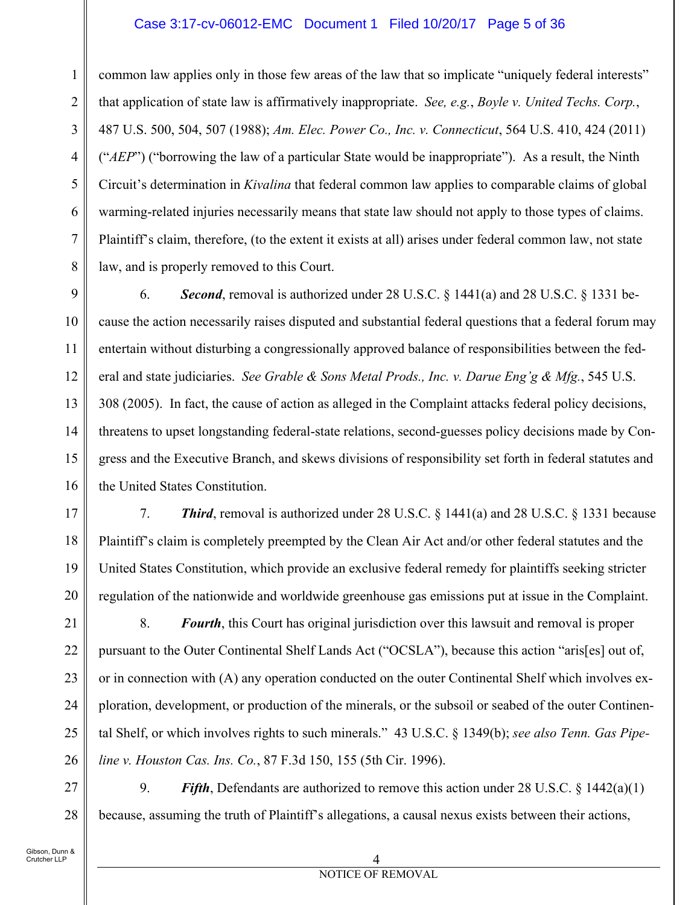#### Case 3:17-cv-06012-EMC Document 1 Filed 10/20/17 Page 5 of 36

common law applies only in those few areas of the law that so implicate "uniquely federal interests" that application of state law is affirmatively inappropriate. *See, e.g.*, *Boyle v. United Techs. Corp.*, 487 U.S. 500, 504, 507 (1988); *Am. Elec. Power Co., Inc. v. Connecticut*, 564 U.S. 410, 424 (2011) ("*AEP*") ("borrowing the law of a particular State would be inappropriate"). As a result, the Ninth Circuit's determination in *Kivalina* that federal common law applies to comparable claims of global warming-related injuries necessarily means that state law should not apply to those types of claims. Plaintiff's claim, therefore, (to the extent it exists at all) arises under federal common law, not state law, and is properly removed to this Court.

9 10 11 12 13 14 15 16 6. *Second*, removal is authorized under 28 U.S.C. § 1441(a) and 28 U.S.C. § 1331 because the action necessarily raises disputed and substantial federal questions that a federal forum may entertain without disturbing a congressionally approved balance of responsibilities between the federal and state judiciaries. *See Grable & Sons Metal Prods., Inc. v. Darue Eng'g & Mfg.*, 545 U.S. 308 (2005). In fact, the cause of action as alleged in the Complaint attacks federal policy decisions, threatens to upset longstanding federal-state relations, second-guesses policy decisions made by Congress and the Executive Branch, and skews divisions of responsibility set forth in federal statutes and the United States Constitution.

7. *Third*, removal is authorized under 28 U.S.C. § 1441(a) and 28 U.S.C. § 1331 because Plaintiff's claim is completely preempted by the Clean Air Act and/or other federal statutes and the United States Constitution, which provide an exclusive federal remedy for plaintiffs seeking stricter regulation of the nationwide and worldwide greenhouse gas emissions put at issue in the Complaint.

21 22 23 24 25 26 8. *Fourth*, this Court has original jurisdiction over this lawsuit and removal is proper pursuant to the Outer Continental Shelf Lands Act ("OCSLA"), because this action "aris[es] out of, or in connection with (A) any operation conducted on the outer Continental Shelf which involves exploration, development, or production of the minerals, or the subsoil or seabed of the outer Continental Shelf, or which involves rights to such minerals." 43 U.S.C. § 1349(b); *see also Tenn. Gas Pipeline v. Houston Cas. Ins. Co.*, 87 F.3d 150, 155 (5th Cir. 1996).

27 28 9. *Fifth*, Defendants are authorized to remove this action under 28 U.S.C. § 1442(a)(1) because, assuming the truth of Plaintiff's allegations, a causal nexus exists between their actions,

1

2

3

4

5

6

7

8

17

18

19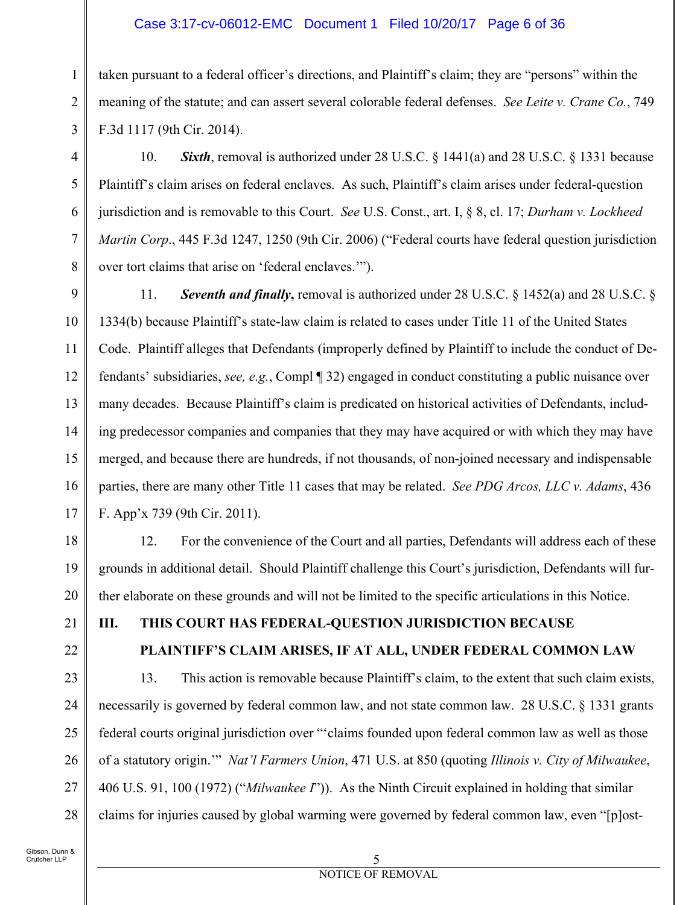### Case 3:17-cv-06012-EMC Document 1 Filed 10/20/17 Page 6 of 36

taken pursuant to a federal officer's directions, and Plaintiff's claim; they are "persons" within the meaning of the statute; and can assert several colorable federal defenses. *See Leite v. Crane Co.*, 749 F.3d 1117 (9th Cir. 2014).

10. *Sixth*, removal is authorized under 28 U.S.C. § 1441(a) and 28 U.S.C. § 1331 because Plaintiff's claim arises on federal enclaves. As such, Plaintiff's claim arises under federal-question jurisdiction and is removable to this Court. *See* U.S. Const., art. I, § 8, cl. 17; *Durham v. Lockheed Martin Corp*., 445 F.3d 1247, 1250 (9th Cir. 2006) ("Federal courts have federal question jurisdiction over tort claims that arise on 'federal enclaves.'").

8 9

1

2

3

4

5

6

7

10 11 12 13 14 15 16 17 11. *Seventh and finally***,** removal is authorized under 28 U.S.C. § 1452(a) and 28 U.S.C. § 1334(b) because Plaintiff's state-law claim is related to cases under Title 11 of the United States Code. Plaintiff alleges that Defendants (improperly defined by Plaintiff to include the conduct of Defendants' subsidiaries, *see, e.g.*, Compl ¶ 32) engaged in conduct constituting a public nuisance over many decades. Because Plaintiff's claim is predicated on historical activities of Defendants, including predecessor companies and companies that they may have acquired or with which they may have merged, and because there are hundreds, if not thousands, of non-joined necessary and indispensable parties, there are many other Title 11 cases that may be related. *See PDG Arcos, LLC v. Adams*, 436 F. App'x 739 (9th Cir. 2011).

12. For the convenience of the Court and all parties, Defendants will address each of these grounds in additional detail. Should Plaintiff challenge this Court's jurisdiction, Defendants will further elaborate on these grounds and will not be limited to the specific articulations in this Notice.

21

18

19

20

22

23

24

25

26

27

28

# **III. THIS COURT HAS FEDERAL-QUESTION JURISDICTION BECAUSE**

### **PLAINTIFF'S CLAIM ARISES, IF AT ALL, UNDER FEDERAL COMMON LAW**

13. This action is removable because Plaintiff's claim, to the extent that such claim exists, necessarily is governed by federal common law, and not state common law. 28 U.S.C. § 1331 grants federal courts original jurisdiction over "'claims founded upon federal common law as well as those of a statutory origin.'" *Nat'l Farmers Union*, 471 U.S. at 850 (quoting *Illinois v. City of Milwaukee*, 406 U.S. 91, 100 (1972) ("*Milwaukee I*")). As the Ninth Circuit explained in holding that similar claims for injuries caused by global warming were governed by federal common law, even "[p]ost-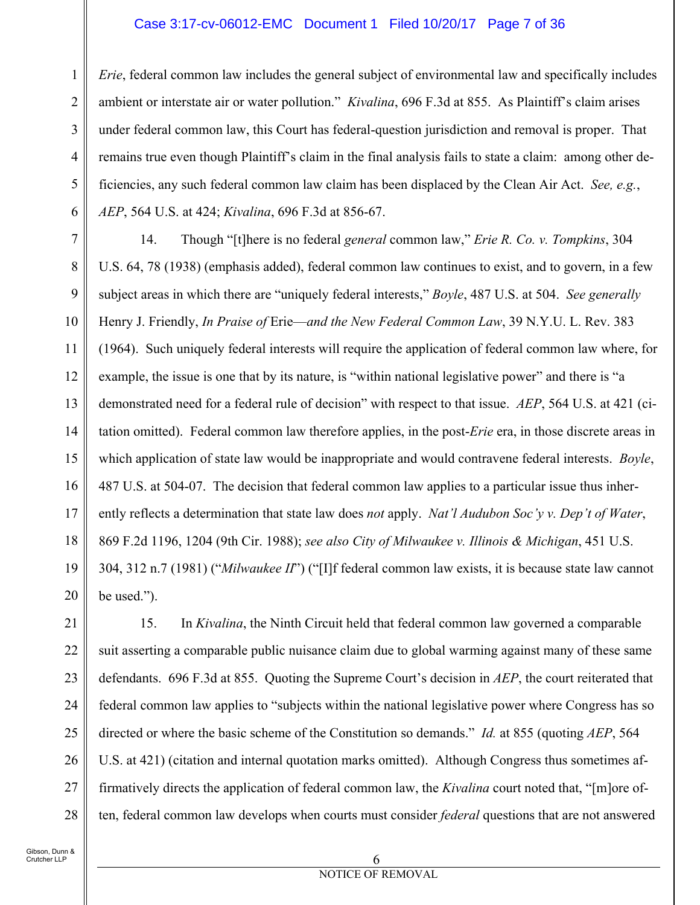#### Case 3:17-cv-06012-EMC Document 1 Filed 10/20/17 Page 7 of 36

1 2 3 4 5 6 *Erie*, federal common law includes the general subject of environmental law and specifically includes ambient or interstate air or water pollution." *Kivalina*, 696 F.3d at 855. As Plaintiff's claim arises under federal common law, this Court has federal-question jurisdiction and removal is proper. That remains true even though Plaintiff's claim in the final analysis fails to state a claim: among other deficiencies, any such federal common law claim has been displaced by the Clean Air Act. *See, e.g.*, *AEP*, 564 U.S. at 424; *Kivalina*, 696 F.3d at 856-67.

7 8 9 10 11 12 13 14 15 16 17 18 19 20 14. Though "[t]here is no federal *general* common law," *Erie R. Co. v. Tompkins*, 304 U.S. 64, 78 (1938) (emphasis added), federal common law continues to exist, and to govern, in a few subject areas in which there are "uniquely federal interests," *Boyle*, 487 U.S. at 504. *See generally*  Henry J. Friendly, *In Praise of* Erie—*and the New Federal Common Law*, 39 N.Y.U. L. Rev. 383 (1964). Such uniquely federal interests will require the application of federal common law where, for example, the issue is one that by its nature, is "within national legislative power" and there is "a demonstrated need for a federal rule of decision" with respect to that issue. *AEP*, 564 U.S. at 421 (citation omitted). Federal common law therefore applies, in the post-*Erie* era, in those discrete areas in which application of state law would be inappropriate and would contravene federal interests. *Boyle*, 487 U.S. at 504-07. The decision that federal common law applies to a particular issue thus inherently reflects a determination that state law does *not* apply. *Nat'l Audubon Soc'y v. Dep't of Water*, 869 F.2d 1196, 1204 (9th Cir. 1988); *see also City of Milwaukee v. Illinois & Michigan*, 451 U.S. 304, 312 n.7 (1981) ("*Milwaukee II*") ("[I]f federal common law exists, it is because state law cannot be used.").

21 22 23 24 25 26 27 28 15. In *Kivalina*, the Ninth Circuit held that federal common law governed a comparable suit asserting a comparable public nuisance claim due to global warming against many of these same defendants. 696 F.3d at 855. Quoting the Supreme Court's decision in *AEP*, the court reiterated that federal common law applies to "subjects within the national legislative power where Congress has so directed or where the basic scheme of the Constitution so demands." *Id.* at 855 (quoting *AEP*, 564 U.S. at 421) (citation and internal quotation marks omitted). Although Congress thus sometimes affirmatively directs the application of federal common law, the *Kivalina* court noted that, "[m]ore often, federal common law develops when courts must consider *federal* questions that are not answered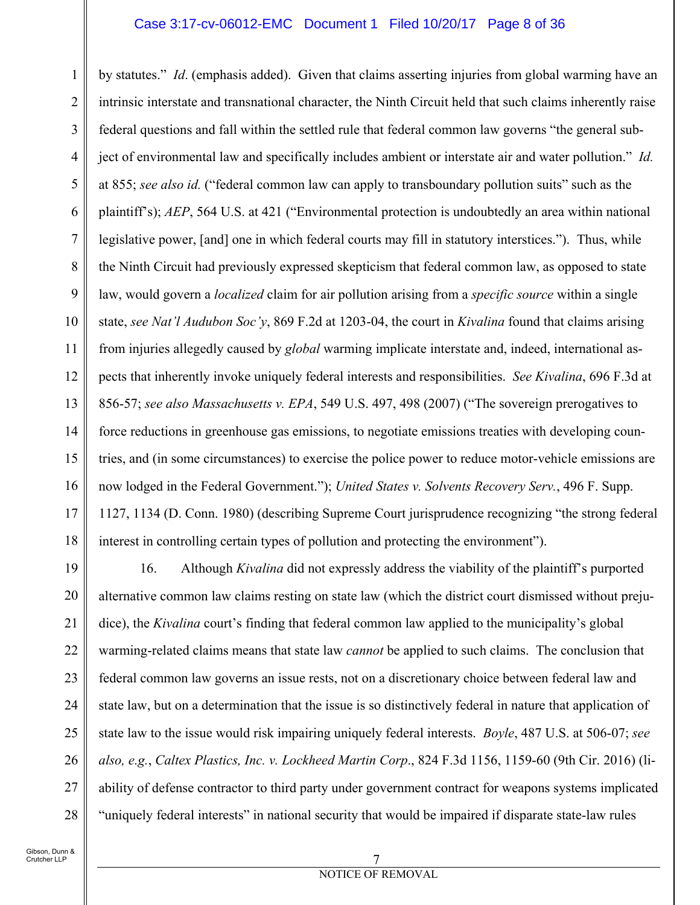### Case 3:17-cv-06012-EMC Document 1 Filed 10/20/17 Page 8 of 36

1 2 3 4 5 6 7 8 9 10 11 12 13 14 15 16 17 18 by statutes." *Id*. (emphasis added). Given that claims asserting injuries from global warming have an intrinsic interstate and transnational character, the Ninth Circuit held that such claims inherently raise federal questions and fall within the settled rule that federal common law governs "the general subject of environmental law and specifically includes ambient or interstate air and water pollution." *Id.* at 855; *see also id.* ("federal common law can apply to transboundary pollution suits" such as the plaintiff's); *AEP*, 564 U.S. at 421 ("Environmental protection is undoubtedly an area within national legislative power, [and] one in which federal courts may fill in statutory interstices."). Thus, while the Ninth Circuit had previously expressed skepticism that federal common law, as opposed to state law, would govern a *localized* claim for air pollution arising from a *specific source* within a single state, *see Nat'l Audubon Soc'y*, 869 F.2d at 1203-04, the court in *Kivalina* found that claims arising from injuries allegedly caused by *global* warming implicate interstate and, indeed, international aspects that inherently invoke uniquely federal interests and responsibilities. *See Kivalina*, 696 F.3d at 856-57; *see also Massachusetts v. EPA*, 549 U.S. 497, 498 (2007) ("The sovereign prerogatives to force reductions in greenhouse gas emissions, to negotiate emissions treaties with developing countries, and (in some circumstances) to exercise the police power to reduce motor-vehicle emissions are now lodged in the Federal Government."); *United States v. Solvents Recovery Serv.*, 496 F. Supp. 1127, 1134 (D. Conn. 1980) (describing Supreme Court jurisprudence recognizing "the strong federal interest in controlling certain types of pollution and protecting the environment").

19 20 21 22 23 24 25 26 27 28 16. Although *Kivalina* did not expressly address the viability of the plaintiff's purported alternative common law claims resting on state law (which the district court dismissed without prejudice), the *Kivalina* court's finding that federal common law applied to the municipality's global warming-related claims means that state law *cannot* be applied to such claims. The conclusion that federal common law governs an issue rests, not on a discretionary choice between federal law and state law, but on a determination that the issue is so distinctively federal in nature that application of state law to the issue would risk impairing uniquely federal interests. *Boyle*, 487 U.S. at 506-07; *see also, e.g.*, *Caltex Plastics, Inc. v. Lockheed Martin Corp*., 824 F.3d 1156, 1159-60 (9th Cir. 2016) (liability of defense contractor to third party under government contract for weapons systems implicated "uniquely federal interests" in national security that would be impaired if disparate state-law rules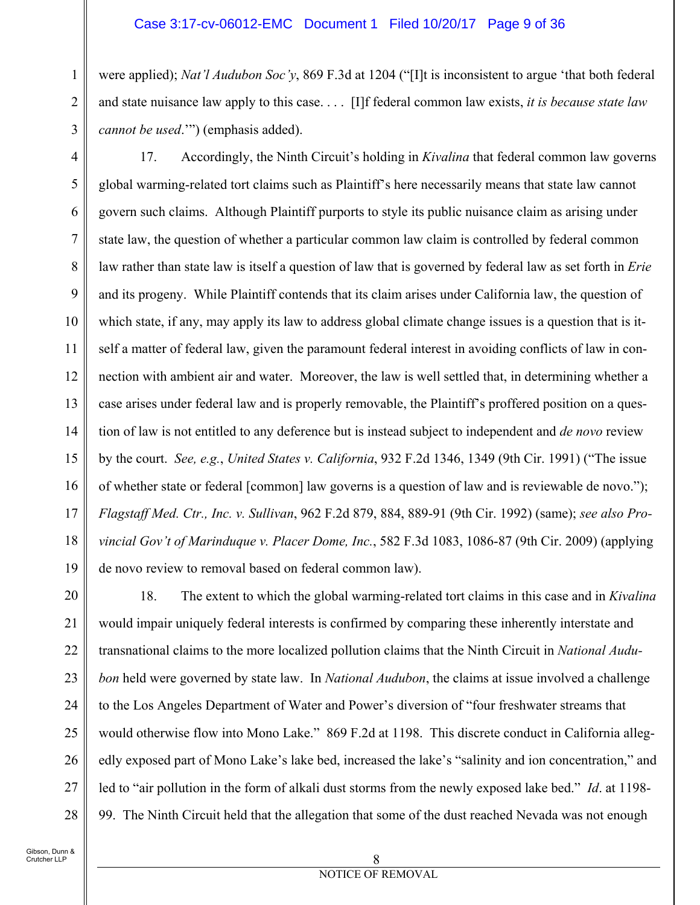#### Case 3:17-cv-06012-EMC Document 1 Filed 10/20/17 Page 9 of 36

were applied); *Nat'l Audubon Soc'y*, 869 F.3d at 1204 ("[I]t is inconsistent to argue 'that both federal and state nuisance law apply to this case. . . . [I]f federal common law exists, *it is because state law cannot be used*.'") (emphasis added).

4 5

1

2

3

6 7 8 9 10 11 12 13 14 15 16 17 18 19 17. Accordingly, the Ninth Circuit's holding in *Kivalina* that federal common law governs global warming-related tort claims such as Plaintiff's here necessarily means that state law cannot govern such claims. Although Plaintiff purports to style its public nuisance claim as arising under state law, the question of whether a particular common law claim is controlled by federal common law rather than state law is itself a question of law that is governed by federal law as set forth in *Erie* and its progeny. While Plaintiff contends that its claim arises under California law, the question of which state, if any, may apply its law to address global climate change issues is a question that is itself a matter of federal law, given the paramount federal interest in avoiding conflicts of law in connection with ambient air and water. Moreover, the law is well settled that, in determining whether a case arises under federal law and is properly removable, the Plaintiff's proffered position on a question of law is not entitled to any deference but is instead subject to independent and *de novo* review by the court. *See, e.g.*, *United States v. California*, 932 F.2d 1346, 1349 (9th Cir. 1991) ("The issue of whether state or federal [common] law governs is a question of law and is reviewable de novo."); *Flagstaff Med. Ctr., Inc. v. Sullivan*, 962 F.2d 879, 884, 889-91 (9th Cir. 1992) (same); *see also Provincial Gov't of Marinduque v. Placer Dome, Inc.*, 582 F.3d 1083, 1086-87 (9th Cir. 2009) (applying de novo review to removal based on federal common law).

20 21 22 23 24 25 26 27 28 18. The extent to which the global warming-related tort claims in this case and in *Kivalina* would impair uniquely federal interests is confirmed by comparing these inherently interstate and transnational claims to the more localized pollution claims that the Ninth Circuit in *National Audubon* held were governed by state law. In *National Audubon*, the claims at issue involved a challenge to the Los Angeles Department of Water and Power's diversion of "four freshwater streams that would otherwise flow into Mono Lake." 869 F.2d at 1198. This discrete conduct in California allegedly exposed part of Mono Lake's lake bed, increased the lake's "salinity and ion concentration," and led to "air pollution in the form of alkali dust storms from the newly exposed lake bed." *Id*. at 1198- 99. The Ninth Circuit held that the allegation that some of the dust reached Nevada was not enough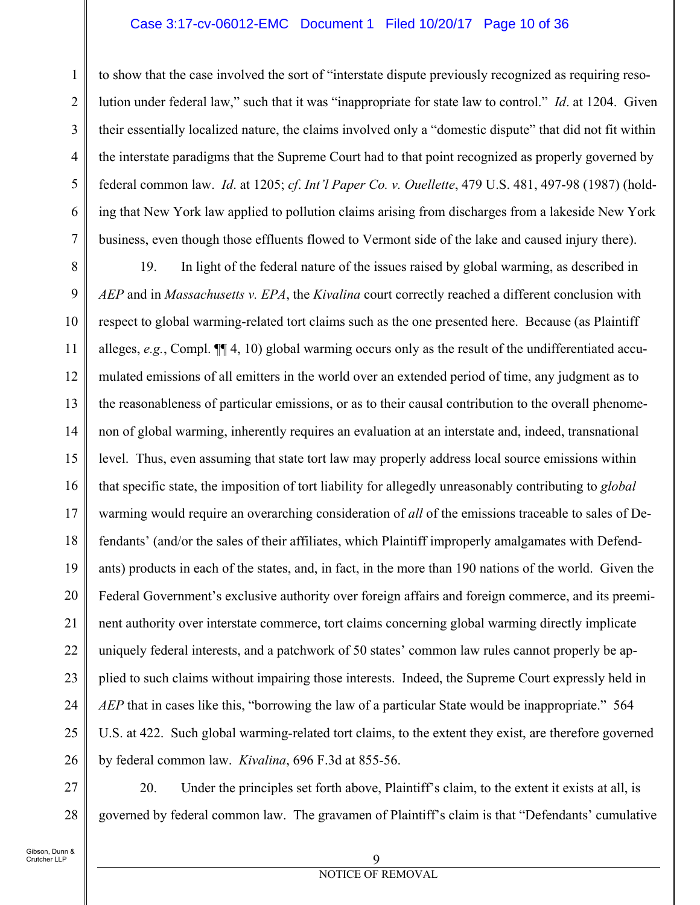### Case 3:17-cv-06012-EMC Document 1 Filed 10/20/17 Page 10 of 36

1 2 3 4 5 6 7 to show that the case involved the sort of "interstate dispute previously recognized as requiring resolution under federal law," such that it was "inappropriate for state law to control." *Id*. at 1204. Given their essentially localized nature, the claims involved only a "domestic dispute" that did not fit within the interstate paradigms that the Supreme Court had to that point recognized as properly governed by federal common law. *Id*. at 1205; *cf*. *Int'l Paper Co. v. Ouellette*, 479 U.S. 481, 497-98 (1987) (holding that New York law applied to pollution claims arising from discharges from a lakeside New York business, even though those effluents flowed to Vermont side of the lake and caused injury there).

8 9 10 11 12 13 14 15 16 17 18 19 20 21 22 23 24 25 26 19. In light of the federal nature of the issues raised by global warming, as described in *AEP* and in *Massachusetts v. EPA*, the *Kivalina* court correctly reached a different conclusion with respect to global warming-related tort claims such as the one presented here. Because (as Plaintiff alleges,  $e.g.,$  Compl.  $\P$ [4, 10) global warming occurs only as the result of the undifferentiated accumulated emissions of all emitters in the world over an extended period of time, any judgment as to the reasonableness of particular emissions, or as to their causal contribution to the overall phenomenon of global warming, inherently requires an evaluation at an interstate and, indeed, transnational level. Thus, even assuming that state tort law may properly address local source emissions within that specific state, the imposition of tort liability for allegedly unreasonably contributing to *global* warming would require an overarching consideration of *all* of the emissions traceable to sales of Defendants' (and/or the sales of their affiliates, which Plaintiff improperly amalgamates with Defendants) products in each of the states, and, in fact, in the more than 190 nations of the world. Given the Federal Government's exclusive authority over foreign affairs and foreign commerce, and its preeminent authority over interstate commerce, tort claims concerning global warming directly implicate uniquely federal interests, and a patchwork of 50 states' common law rules cannot properly be applied to such claims without impairing those interests. Indeed, the Supreme Court expressly held in *AEP* that in cases like this, "borrowing the law of a particular State would be inappropriate." 564 U.S. at 422. Such global warming-related tort claims, to the extent they exist, are therefore governed by federal common law. *Kivalina*, 696 F.3d at 855-56.

27 28 20. Under the principles set forth above, Plaintiff's claim, to the extent it exists at all, is governed by federal common law. The gravamen of Plaintiff's claim is that "Defendants' cumulative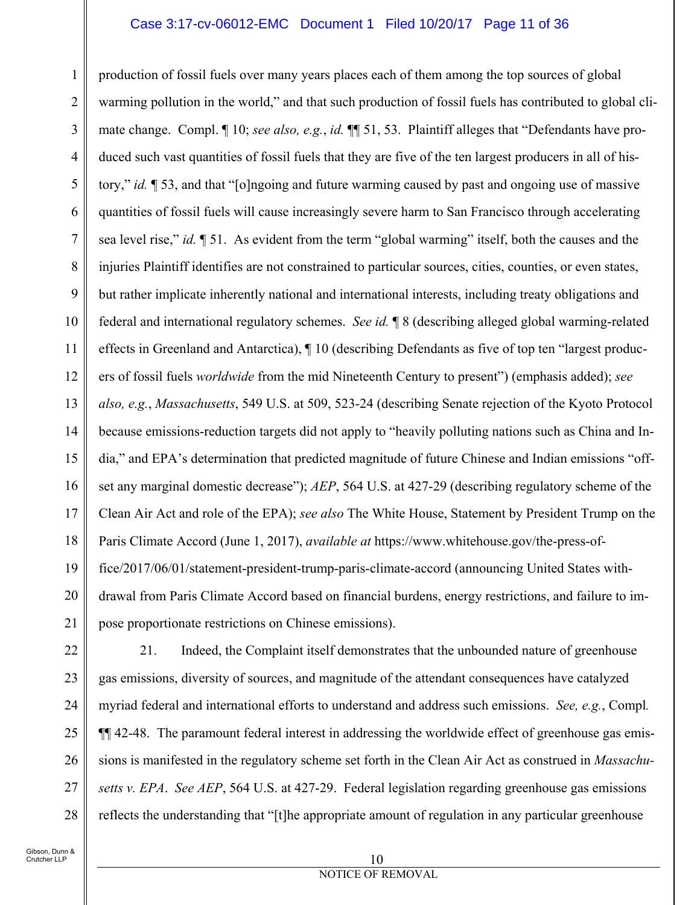#### Case 3:17-cv-06012-EMC Document 1 Filed 10/20/17 Page 11 of 36

1 2 3 4 5 6 7 8 9 10 11 12 13 14 15 16 17 18 19 20 production of fossil fuels over many years places each of them among the top sources of global warming pollution in the world," and that such production of fossil fuels has contributed to global climate change. Compl. ¶ 10; *see also, e.g.*, *id.* ¶¶ 51, 53. Plaintiff alleges that "Defendants have produced such vast quantities of fossil fuels that they are five of the ten largest producers in all of history," *id.* ¶ 53, and that "[o]ngoing and future warming caused by past and ongoing use of massive quantities of fossil fuels will cause increasingly severe harm to San Francisco through accelerating sea level rise," *id.* ¶ 51. As evident from the term "global warming" itself, both the causes and the injuries Plaintiff identifies are not constrained to particular sources, cities, counties, or even states, but rather implicate inherently national and international interests, including treaty obligations and federal and international regulatory schemes. *See id.* ¶ 8 (describing alleged global warming-related effects in Greenland and Antarctica), ¶ 10 (describing Defendants as five of top ten "largest producers of fossil fuels *worldwide* from the mid Nineteenth Century to present") (emphasis added); *see also, e.g.*, *Massachusetts*, 549 U.S. at 509, 523-24 (describing Senate rejection of the Kyoto Protocol because emissions-reduction targets did not apply to "heavily polluting nations such as China and India," and EPA's determination that predicted magnitude of future Chinese and Indian emissions "offset any marginal domestic decrease"); *AEP*, 564 U.S. at 427-29 (describing regulatory scheme of the Clean Air Act and role of the EPA); *see also* The White House, Statement by President Trump on the Paris Climate Accord (June 1, 2017), *available at* https://www.whitehouse.gov/the-press-office/2017/06/01/statement-president-trump-paris-climate-accord (announcing United States withdrawal from Paris Climate Accord based on financial burdens, energy restrictions, and failure to impose proportionate restrictions on Chinese emissions).

28

21. Indeed, the Complaint itself demonstrates that the unbounded nature of greenhouse gas emissions, diversity of sources, and magnitude of the attendant consequences have catalyzed myriad federal and international efforts to understand and address such emissions. *See, e.g.*, Compl*.* ¶¶ 42-48. The paramount federal interest in addressing the worldwide effect of greenhouse gas emissions is manifested in the regulatory scheme set forth in the Clean Air Act as construed in *Massachusetts v. EPA*. *See AEP*, 564 U.S. at 427-29. Federal legislation regarding greenhouse gas emissions reflects the understanding that "[t]he appropriate amount of regulation in any particular greenhouse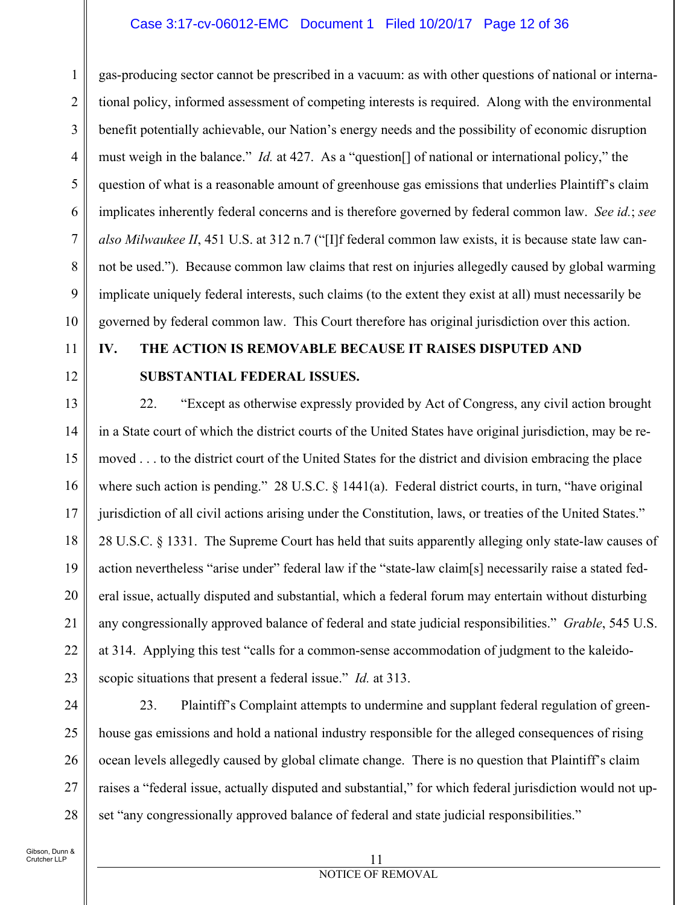### Case 3:17-cv-06012-EMC Document 1 Filed 10/20/17 Page 12 of 36

1 2 3 4 5 6 7 8 9 10 gas-producing sector cannot be prescribed in a vacuum: as with other questions of national or international policy, informed assessment of competing interests is required. Along with the environmental benefit potentially achievable, our Nation's energy needs and the possibility of economic disruption must weigh in the balance." *Id.* at 427. As a "question[] of national or international policy," the question of what is a reasonable amount of greenhouse gas emissions that underlies Plaintiff's claim implicates inherently federal concerns and is therefore governed by federal common law. *See id.*; *see also Milwaukee II*, 451 U.S. at 312 n.7 ("[I]f federal common law exists, it is because state law cannot be used.").Because common law claims that rest on injuries allegedly caused by global warming implicate uniquely federal interests, such claims (to the extent they exist at all) must necessarily be governed by federal common law. This Court therefore has original jurisdiction over this action.

- 11
- 12

## **IV. THE ACTION IS REMOVABLE BECAUSE IT RAISES DISPUTED AND SUBSTANTIAL FEDERAL ISSUES.**

13 14 15 16 17 18 19 20 21 22 23 22. "Except as otherwise expressly provided by Act of Congress, any civil action brought in a State court of which the district courts of the United States have original jurisdiction, may be removed . . . to the district court of the United States for the district and division embracing the place where such action is pending." 28 U.S.C. § 1441(a). Federal district courts, in turn, "have original jurisdiction of all civil actions arising under the Constitution, laws, or treaties of the United States." 28 U.S.C. § 1331. The Supreme Court has held that suits apparently alleging only state-law causes of action nevertheless "arise under" federal law if the "state-law claim[s] necessarily raise a stated federal issue, actually disputed and substantial, which a federal forum may entertain without disturbing any congressionally approved balance of federal and state judicial responsibilities." *Grable*, 545 U.S. at 314. Applying this test "calls for a common-sense accommodation of judgment to the kaleidoscopic situations that present a federal issue." *Id.* at 313.

24

25

26

27

28

23. Plaintiff's Complaint attempts to undermine and supplant federal regulation of greenhouse gas emissions and hold a national industry responsible for the alleged consequences of rising ocean levels allegedly caused by global climate change. There is no question that Plaintiff's claim raises a "federal issue, actually disputed and substantial," for which federal jurisdiction would not upset "any congressionally approved balance of federal and state judicial responsibilities."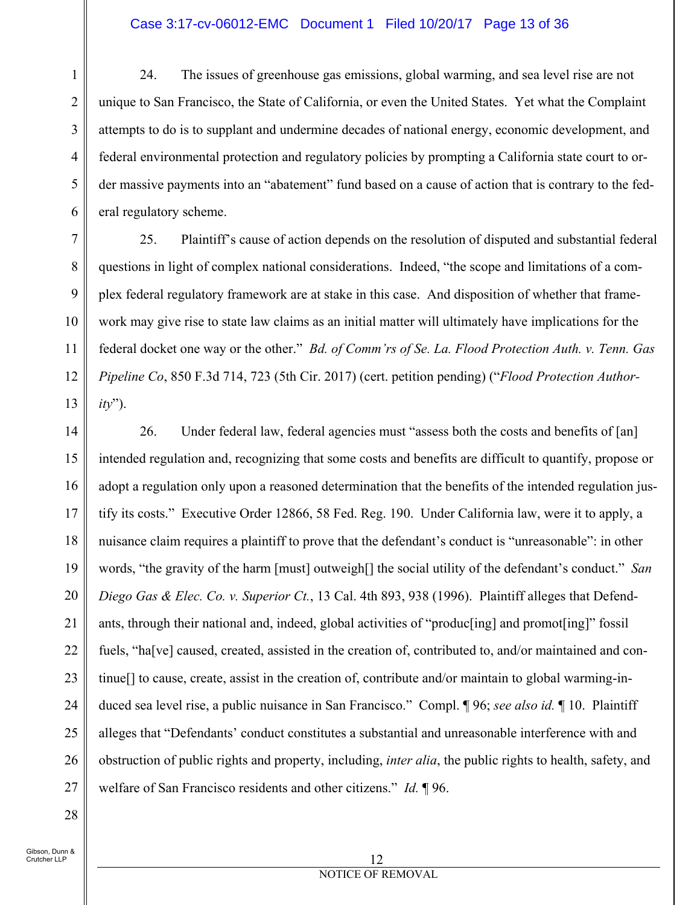#### Case 3:17-cv-06012-EMC Document 1 Filed 10/20/17 Page 13 of 36

5 24. The issues of greenhouse gas emissions, global warming, and sea level rise are not unique to San Francisco, the State of California, or even the United States. Yet what the Complaint attempts to do is to supplant and undermine decades of national energy, economic development, and federal environmental protection and regulatory policies by prompting a California state court to order massive payments into an "abatement" fund based on a cause of action that is contrary to the federal regulatory scheme.

7 8 9 10 11 12 13 25. Plaintiff's cause of action depends on the resolution of disputed and substantial federal questions in light of complex national considerations. Indeed, "the scope and limitations of a complex federal regulatory framework are at stake in this case. And disposition of whether that framework may give rise to state law claims as an initial matter will ultimately have implications for the federal docket one way or the other." *Bd. of Comm'rs of Se. La. Flood Protection Auth. v. Tenn. Gas Pipeline Co*, 850 F.3d 714, 723 (5th Cir. 2017) (cert. petition pending) ("*Flood Protection Authority*").

14 15 16 17 18 19 20 21 22 23 24 25 26 27 26. Under federal law, federal agencies must "assess both the costs and benefits of [an] intended regulation and, recognizing that some costs and benefits are difficult to quantify, propose or adopt a regulation only upon a reasoned determination that the benefits of the intended regulation justify its costs." Executive Order 12866, 58 Fed. Reg. 190. Under California law, were it to apply, a nuisance claim requires a plaintiff to prove that the defendant's conduct is "unreasonable": in other words, "the gravity of the harm [must] outweigh[] the social utility of the defendant's conduct." *San Diego Gas & Elec. Co. v. Superior Ct.*, 13 Cal. 4th 893, 938 (1996). Plaintiff alleges that Defendants, through their national and, indeed, global activities of "produc[ing] and promot[ing]" fossil fuels, "ha[ve] caused, created, assisted in the creation of, contributed to, and/or maintained and continue[] to cause, create, assist in the creation of, contribute and/or maintain to global warming-induced sea level rise, a public nuisance in San Francisco." Compl. ¶ 96; *see also id.* ¶ 10. Plaintiff alleges that "Defendants' conduct constitutes a substantial and unreasonable interference with and obstruction of public rights and property, including, *inter alia*, the public rights to health, safety, and welfare of San Francisco residents and other citizens." *Id.* ¶ 96.

28

1

2

3

4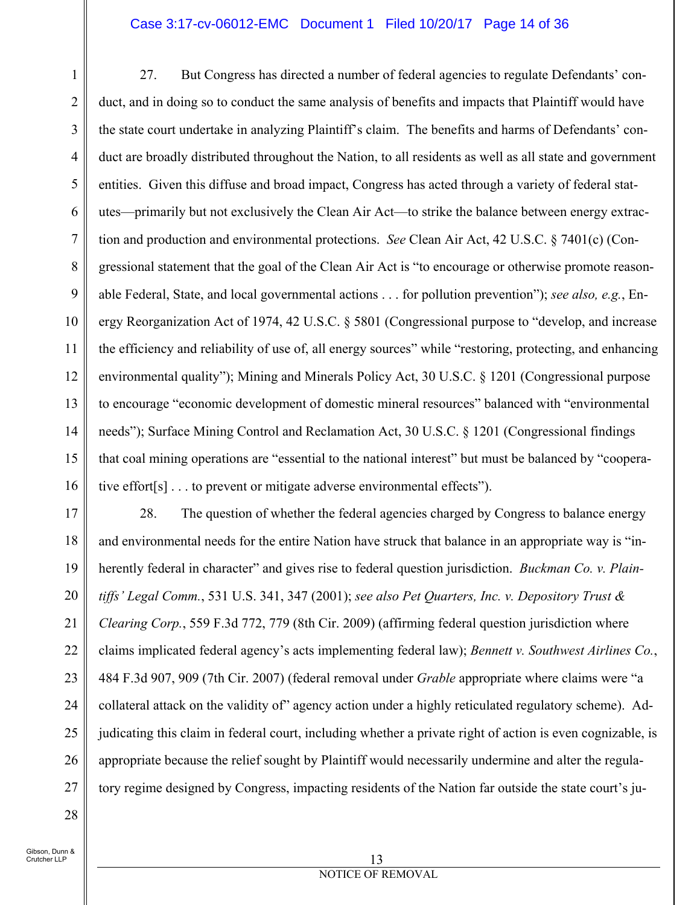### Case 3:17-cv-06012-EMC Document 1 Filed 10/20/17 Page 14 of 36

1 2 3 4 5 6 7 8 9 10 11 12 13 14 15 16 27. But Congress has directed a number of federal agencies to regulate Defendants' conduct, and in doing so to conduct the same analysis of benefits and impacts that Plaintiff would have the state court undertake in analyzing Plaintiff's claim. The benefits and harms of Defendants' conduct are broadly distributed throughout the Nation, to all residents as well as all state and government entities. Given this diffuse and broad impact, Congress has acted through a variety of federal statutes—primarily but not exclusively the Clean Air Act—to strike the balance between energy extraction and production and environmental protections. *See* Clean Air Act, 42 U.S.C. § 7401(c) (Congressional statement that the goal of the Clean Air Act is "to encourage or otherwise promote reasonable Federal, State, and local governmental actions . . . for pollution prevention"); *see also, e.g.*, Energy Reorganization Act of 1974, 42 U.S.C. § 5801 (Congressional purpose to "develop, and increase the efficiency and reliability of use of, all energy sources" while "restoring, protecting, and enhancing environmental quality"); Mining and Minerals Policy Act, 30 U.S.C. § 1201 (Congressional purpose to encourage "economic development of domestic mineral resources" balanced with "environmental needs"); Surface Mining Control and Reclamation Act, 30 U.S.C. § 1201 (Congressional findings that coal mining operations are "essential to the national interest" but must be balanced by "cooperative effort[s] . . . to prevent or mitigate adverse environmental effects").

17 18 19 20 21 22 23 24 25 26 27 28. The question of whether the federal agencies charged by Congress to balance energy and environmental needs for the entire Nation have struck that balance in an appropriate way is "inherently federal in character" and gives rise to federal question jurisdiction. *Buckman Co. v. Plaintiffs' Legal Comm.*, 531 U.S. 341, 347 (2001); *see also Pet Quarters, Inc. v. Depository Trust & Clearing Corp.*, 559 F.3d 772, 779 (8th Cir. 2009) (affirming federal question jurisdiction where claims implicated federal agency's acts implementing federal law); *Bennett v. Southwest Airlines Co.*, 484 F.3d 907, 909 (7th Cir. 2007) (federal removal under *Grable* appropriate where claims were "a collateral attack on the validity of" agency action under a highly reticulated regulatory scheme). Adjudicating this claim in federal court, including whether a private right of action is even cognizable, is appropriate because the relief sought by Plaintiff would necessarily undermine and alter the regulatory regime designed by Congress, impacting residents of the Nation far outside the state court's ju-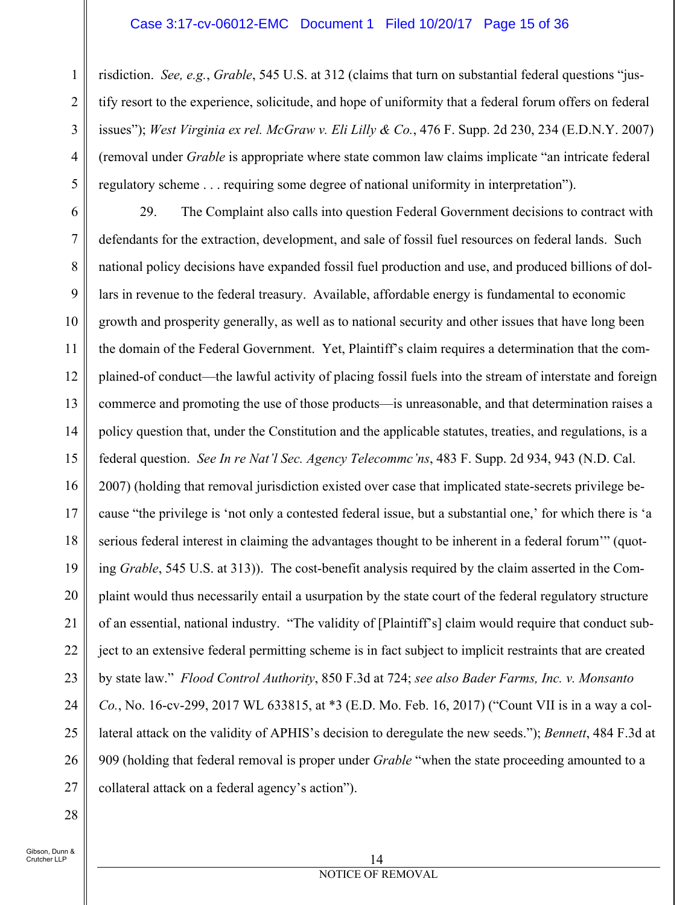#### Case 3:17-cv-06012-EMC Document 1 Filed 10/20/17 Page 15 of 36

risdiction. *See, e.g.*, *Grable*, 545 U.S. at 312 (claims that turn on substantial federal questions "justify resort to the experience, solicitude, and hope of uniformity that a federal forum offers on federal issues"); *West Virginia ex rel. McGraw v. Eli Lilly & Co.*, 476 F. Supp. 2d 230, 234 (E.D.N.Y. 2007) (removal under *Grable* is appropriate where state common law claims implicate "an intricate federal regulatory scheme . . . requiring some degree of national uniformity in interpretation").

6 7 8 9 10 11 12 13 14 15 16 17 18 19 20 21 22 23 24 25 26 27 29. The Complaint also calls into question Federal Government decisions to contract with defendants for the extraction, development, and sale of fossil fuel resources on federal lands. Such national policy decisions have expanded fossil fuel production and use, and produced billions of dollars in revenue to the federal treasury. Available, affordable energy is fundamental to economic growth and prosperity generally, as well as to national security and other issues that have long been the domain of the Federal Government. Yet, Plaintiff's claim requires a determination that the complained-of conduct—the lawful activity of placing fossil fuels into the stream of interstate and foreign commerce and promoting the use of those products—is unreasonable, and that determination raises a policy question that, under the Constitution and the applicable statutes, treaties, and regulations, is a federal question. *See In re Nat'l Sec. Agency Telecommc'ns*, 483 F. Supp. 2d 934, 943 (N.D. Cal. 2007) (holding that removal jurisdiction existed over case that implicated state-secrets privilege because "the privilege is 'not only a contested federal issue, but a substantial one,' for which there is 'a serious federal interest in claiming the advantages thought to be inherent in a federal forum'" (quoting *Grable*, 545 U.S. at 313)). The cost-benefit analysis required by the claim asserted in the Complaint would thus necessarily entail a usurpation by the state court of the federal regulatory structure of an essential, national industry. "The validity of [Plaintiff's] claim would require that conduct subject to an extensive federal permitting scheme is in fact subject to implicit restraints that are created by state law." *Flood Control Authority*, 850 F.3d at 724; *see also Bader Farms, Inc. v. Monsanto Co.*, No. 16-cv-299, 2017 WL 633815, at \*3 (E.D. Mo. Feb. 16, 2017) ("Count VII is in a way a collateral attack on the validity of APHIS's decision to deregulate the new seeds."); *Bennett*, 484 F.3d at 909 (holding that federal removal is proper under *Grable* "when the state proceeding amounted to a collateral attack on a federal agency's action").

28

1

2

3

4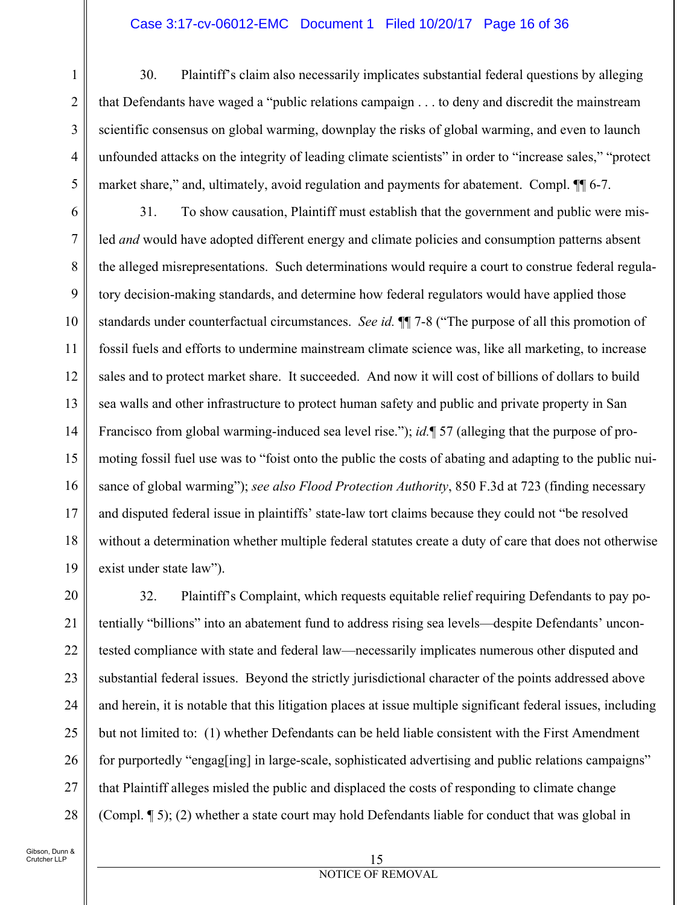#### Case 3:17-cv-06012-EMC Document 1 Filed 10/20/17 Page 16 of 36

30. Plaintiff's claim also necessarily implicates substantial federal questions by alleging that Defendants have waged a "public relations campaign . . . to deny and discredit the mainstream scientific consensus on global warming, downplay the risks of global warming, and even to launch unfounded attacks on the integrity of leading climate scientists" in order to "increase sales," "protect market share," and, ultimately, avoid regulation and payments for abatement. Compl. ¶¶ 6-7.

6 7 8 9 10 11 12 13 14 15 16 17 18 19 31. To show causation, Plaintiff must establish that the government and public were misled *and* would have adopted different energy and climate policies and consumption patterns absent the alleged misrepresentations. Such determinations would require a court to construe federal regulatory decision-making standards, and determine how federal regulators would have applied those standards under counterfactual circumstances. *See id.* ¶¶ 7-8 ("The purpose of all this promotion of fossil fuels and efforts to undermine mainstream climate science was, like all marketing, to increase sales and to protect market share. It succeeded. And now it will cost of billions of dollars to build sea walls and other infrastructure to protect human safety and public and private property in San Francisco from global warming-induced sea level rise."); *id.*¶ 57 (alleging that the purpose of promoting fossil fuel use was to "foist onto the public the costs of abating and adapting to the public nuisance of global warming"); *see also Flood Protection Authority*, 850 F.3d at 723 (finding necessary and disputed federal issue in plaintiffs' state-law tort claims because they could not "be resolved without a determination whether multiple federal statutes create a duty of care that does not otherwise exist under state law").

20 21 22 23 24 25 26 27 28 32. Plaintiff's Complaint, which requests equitable relief requiring Defendants to pay potentially "billions" into an abatement fund to address rising sea levels—despite Defendants' uncontested compliance with state and federal law—necessarily implicates numerous other disputed and substantial federal issues. Beyond the strictly jurisdictional character of the points addressed above and herein, it is notable that this litigation places at issue multiple significant federal issues, including but not limited to: (1) whether Defendants can be held liable consistent with the First Amendment for purportedly "engag[ing] in large-scale, sophisticated advertising and public relations campaigns" that Plaintiff alleges misled the public and displaced the costs of responding to climate change (Compl. ¶ 5); (2) whether a state court may hold Defendants liable for conduct that was global in

1

2

3

4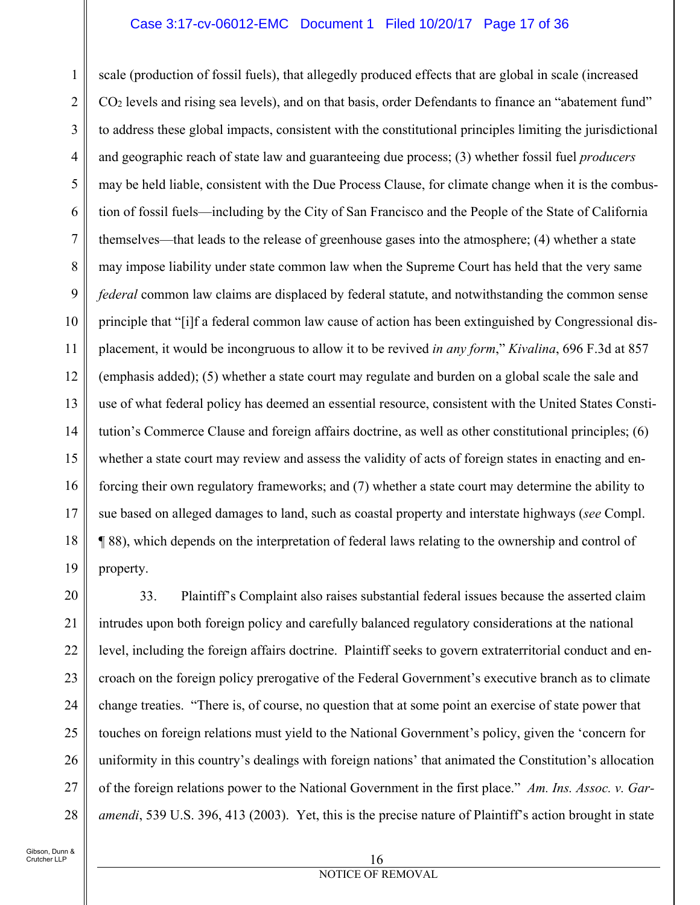#### Case 3:17-cv-06012-EMC Document 1 Filed 10/20/17 Page 17 of 36

1 2 3 4 5 6 7 8 9 10 11 12 13 14 15 16 17 18 19 scale (production of fossil fuels), that allegedly produced effects that are global in scale (increased CO2 levels and rising sea levels), and on that basis, order Defendants to finance an "abatement fund" to address these global impacts, consistent with the constitutional principles limiting the jurisdictional and geographic reach of state law and guaranteeing due process; (3) whether fossil fuel *producers*  may be held liable, consistent with the Due Process Clause, for climate change when it is the combustion of fossil fuels—including by the City of San Francisco and the People of the State of California themselves—that leads to the release of greenhouse gases into the atmosphere; (4) whether a state may impose liability under state common law when the Supreme Court has held that the very same *federal* common law claims are displaced by federal statute, and notwithstanding the common sense principle that "[i]f a federal common law cause of action has been extinguished by Congressional displacement, it would be incongruous to allow it to be revived *in any form*," *Kivalina*, 696 F.3d at 857 (emphasis added); (5) whether a state court may regulate and burden on a global scale the sale and use of what federal policy has deemed an essential resource, consistent with the United States Constitution's Commerce Clause and foreign affairs doctrine, as well as other constitutional principles; (6) whether a state court may review and assess the validity of acts of foreign states in enacting and enforcing their own regulatory frameworks; and (7) whether a state court may determine the ability to sue based on alleged damages to land, such as coastal property and interstate highways (*see* Compl. ¶ 88), which depends on the interpretation of federal laws relating to the ownership and control of property.

20 21 22 23 24 25 26 27 28 33. Plaintiff's Complaint also raises substantial federal issues because the asserted claim intrudes upon both foreign policy and carefully balanced regulatory considerations at the national level, including the foreign affairs doctrine. Plaintiff seeks to govern extraterritorial conduct and encroach on the foreign policy prerogative of the Federal Government's executive branch as to climate change treaties. "There is, of course, no question that at some point an exercise of state power that touches on foreign relations must yield to the National Government's policy, given the 'concern for uniformity in this country's dealings with foreign nations' that animated the Constitution's allocation of the foreign relations power to the National Government in the first place." *Am. Ins. Assoc. v. Garamendi*, 539 U.S. 396, 413 (2003). Yet, this is the precise nature of Plaintiff's action brought in state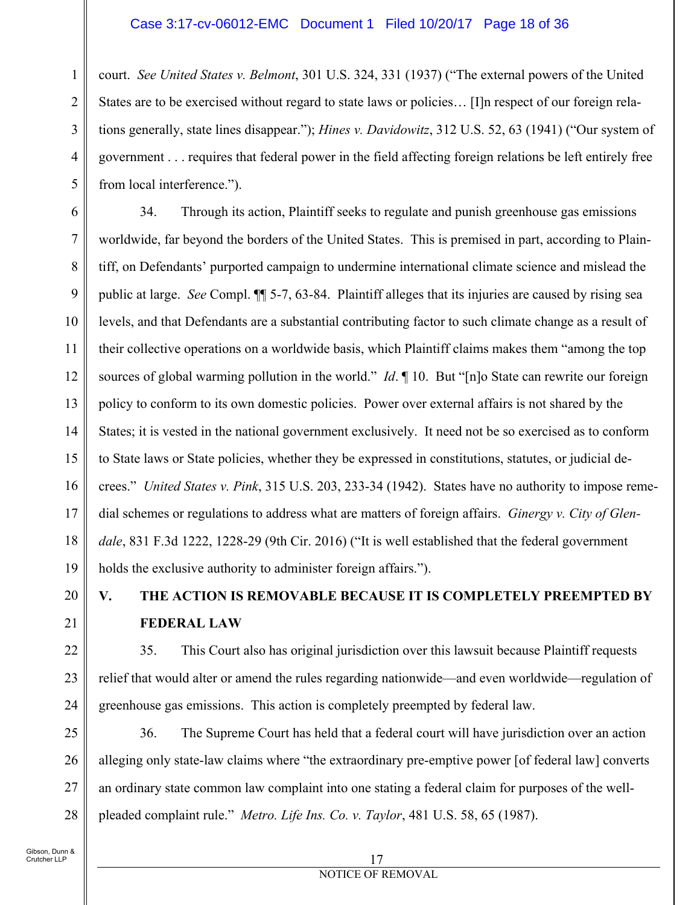#### Case 3:17-cv-06012-EMC Document 1 Filed 10/20/17 Page 18 of 36

1 2 3 4 5 court. *See United States v. Belmont*, 301 U.S. 324, 331 (1937) ("The external powers of the United States are to be exercised without regard to state laws or policies… [I]n respect of our foreign relations generally, state lines disappear."); *Hines v. Davidowitz*, 312 U.S. 52, 63 (1941) ("Our system of government . . . requires that federal power in the field affecting foreign relations be left entirely free from local interference.").

6 7 8 9 10 11 12 13 14 15 16 17 18 19 34. Through its action, Plaintiff seeks to regulate and punish greenhouse gas emissions worldwide, far beyond the borders of the United States. This is premised in part, according to Plaintiff, on Defendants' purported campaign to undermine international climate science and mislead the public at large. *See* Compl. ¶¶ 5-7, 63-84. Plaintiff alleges that its injuries are caused by rising sea levels, and that Defendants are a substantial contributing factor to such climate change as a result of their collective operations on a worldwide basis, which Plaintiff claims makes them "among the top sources of global warming pollution in the world." *Id*. ¶ 10. But "[n]o State can rewrite our foreign policy to conform to its own domestic policies. Power over external affairs is not shared by the States; it is vested in the national government exclusively. It need not be so exercised as to conform to State laws or State policies, whether they be expressed in constitutions, statutes, or judicial decrees." *United States v. Pink*, 315 U.S. 203, 233-34 (1942). States have no authority to impose remedial schemes or regulations to address what are matters of foreign affairs. *Ginergy v. City of Glendale*, 831 F.3d 1222, 1228-29 (9th Cir. 2016) ("It is well established that the federal government holds the exclusive authority to administer foreign affairs.").

20 21

22

23

24

## **V. THE ACTION IS REMOVABLE BECAUSE IT IS COMPLETELY PREEMPTED BY FEDERAL LAW**

35. This Court also has original jurisdiction over this lawsuit because Plaintiff requests relief that would alter or amend the rules regarding nationwide—and even worldwide—regulation of greenhouse gas emissions. This action is completely preempted by federal law.

25 26 27 28 36. The Supreme Court has held that a federal court will have jurisdiction over an action alleging only state-law claims where "the extraordinary pre-emptive power [of federal law] converts an ordinary state common law complaint into one stating a federal claim for purposes of the wellpleaded complaint rule." *Metro. Life Ins. Co. v. Taylor*, 481 U.S. 58, 65 (1987).

#### 17 NOTICE OF REMOVAL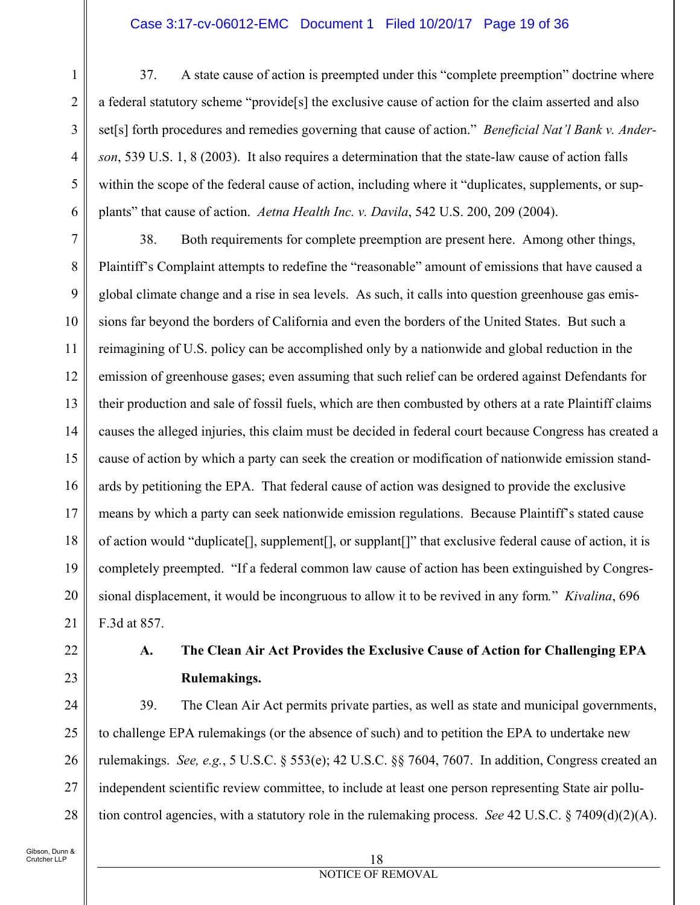#### Case 3:17-cv-06012-EMC Document 1 Filed 10/20/17 Page 19 of 36

37. A state cause of action is preempted under this "complete preemption" doctrine where a federal statutory scheme "provide[s] the exclusive cause of action for the claim asserted and also set[s] forth procedures and remedies governing that cause of action." *Beneficial Nat'l Bank v. Anderson*, 539 U.S. 1, 8 (2003). It also requires a determination that the state-law cause of action falls within the scope of the federal cause of action, including where it "duplicates, supplements, or supplants" that cause of action. *Aetna Health Inc. v. Davila*, 542 U.S. 200, 209 (2004).

7 8 9 10 11 12 13 14 15 16 17 18 19 20 21 38. Both requirements for complete preemption are present here. Among other things, Plaintiff's Complaint attempts to redefine the "reasonable" amount of emissions that have caused a global climate change and a rise in sea levels. As such, it calls into question greenhouse gas emissions far beyond the borders of California and even the borders of the United States. But such a reimagining of U.S. policy can be accomplished only by a nationwide and global reduction in the emission of greenhouse gases; even assuming that such relief can be ordered against Defendants for their production and sale of fossil fuels, which are then combusted by others at a rate Plaintiff claims causes the alleged injuries, this claim must be decided in federal court because Congress has created a cause of action by which a party can seek the creation or modification of nationwide emission standards by petitioning the EPA. That federal cause of action was designed to provide the exclusive means by which a party can seek nationwide emission regulations. Because Plaintiff's stated cause of action would "duplicate[], supplement[], or supplant[]" that exclusive federal cause of action, it is completely preempted. "If a federal common law cause of action has been extinguished by Congressional displacement, it would be incongruous to allow it to be revived in any form*.*" *Kivalina*, 696 F.3d at 857.

22 23

1

2

3

4

5

6

### **A. The Clean Air Act Provides the Exclusive Cause of Action for Challenging EPA Rulemakings.**

24 25 26 27 28 39. The Clean Air Act permits private parties, as well as state and municipal governments, to challenge EPA rulemakings (or the absence of such) and to petition the EPA to undertake new rulemakings. *See, e.g.*, 5 U.S.C. § 553(e); 42 U.S.C. §§ 7604, 7607. In addition, Congress created an independent scientific review committee, to include at least one person representing State air pollution control agencies, with a statutory role in the rulemaking process. *See* 42 U.S.C. § 7409(d)(2)(A).

#### 18 NOTICE OF REMOVAL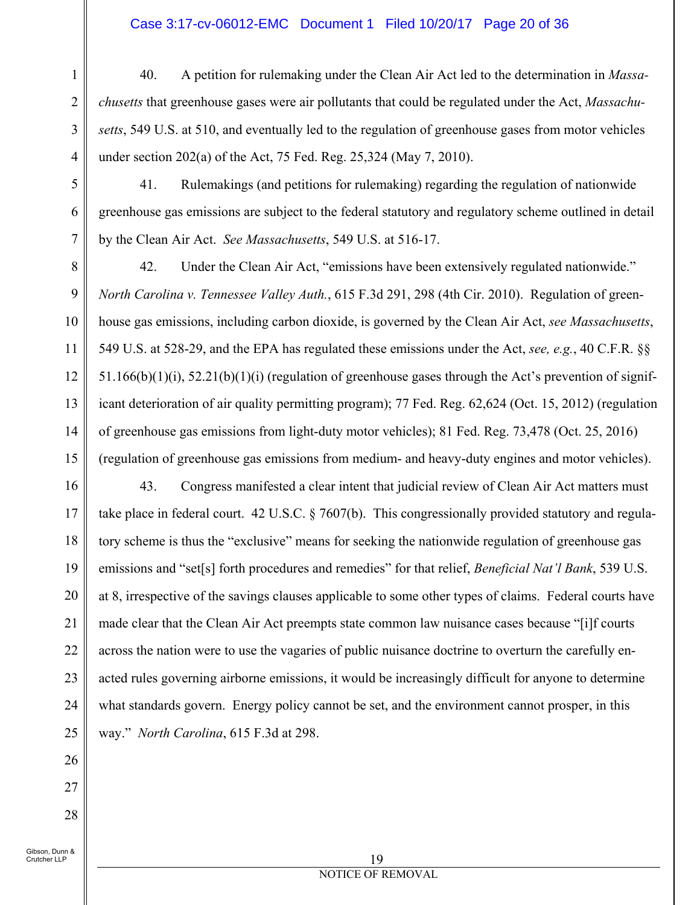#### Case 3:17-cv-06012-EMC Document 1 Filed 10/20/17 Page 20 of 36

- 40. A petition for rulemaking under the Clean Air Act led to the determination in *Massachusetts* that greenhouse gases were air pollutants that could be regulated under the Act, *Massachusetts*, 549 U.S. at 510, and eventually led to the regulation of greenhouse gases from motor vehicles under section 202(a) of the Act, 75 Fed. Reg. 25,324 (May 7, 2010).
- 41. Rulemakings (and petitions for rulemaking) regarding the regulation of nationwide greenhouse gas emissions are subject to the federal statutory and regulatory scheme outlined in detail by the Clean Air Act. *See Massachusetts*, 549 U.S. at 516-17.

8 9 10 11 12 13 14 15 42. Under the Clean Air Act, "emissions have been extensively regulated nationwide." *North Carolina v. Tennessee Valley Auth.*, 615 F.3d 291, 298 (4th Cir. 2010). Regulation of greenhouse gas emissions, including carbon dioxide, is governed by the Clean Air Act, *see Massachusetts*, 549 U.S. at 528-29, and the EPA has regulated these emissions under the Act, *see, e.g.*, 40 C.F.R. §§ 51.166(b)(1)(i), 52.21(b)(1)(i) (regulation of greenhouse gases through the Act's prevention of significant deterioration of air quality permitting program); 77 Fed. Reg. 62,624 (Oct. 15, 2012) (regulation of greenhouse gas emissions from light-duty motor vehicles); 81 Fed. Reg. 73,478 (Oct. 25, 2016) (regulation of greenhouse gas emissions from medium- and heavy-duty engines and motor vehicles).

16 17 18 19 20 21 22 23 24 25 43. Congress manifested a clear intent that judicial review of Clean Air Act matters must take place in federal court. 42 U.S.C. § 7607(b). This congressionally provided statutory and regulatory scheme is thus the "exclusive" means for seeking the nationwide regulation of greenhouse gas emissions and "set[s] forth procedures and remedies" for that relief, *Beneficial Nat'l Bank*, 539 U.S. at 8, irrespective of the savings clauses applicable to some other types of claims. Federal courts have made clear that the Clean Air Act preempts state common law nuisance cases because "[i]f courts across the nation were to use the vagaries of public nuisance doctrine to overturn the carefully enacted rules governing airborne emissions, it would be increasingly difficult for anyone to determine what standards govern. Energy policy cannot be set, and the environment cannot prosper, in this way." *North Carolina*, 615 F.3d at 298.

Gibson, Dunn & Crutcher LLP

26

27

28

1

2

3

4

5

6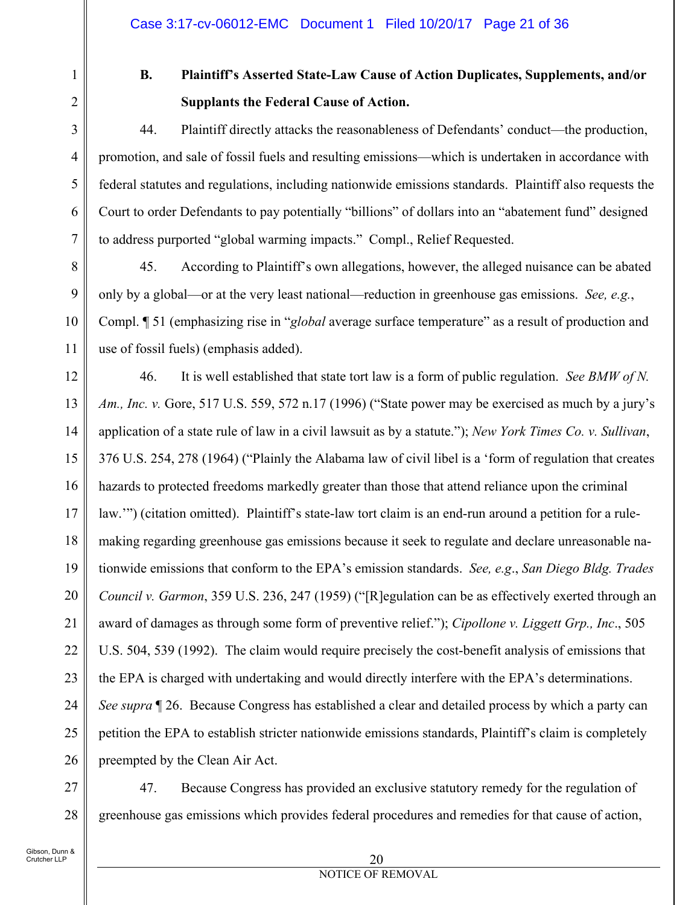1 2

3

4

5

6

7

8

9

10

11

# **B. Plaintiff's Asserted State-Law Cause of Action Duplicates, Supplements, and/or Supplants the Federal Cause of Action.**

44. Plaintiff directly attacks the reasonableness of Defendants' conduct—the production, promotion, and sale of fossil fuels and resulting emissions—which is undertaken in accordance with federal statutes and regulations, including nationwide emissions standards. Plaintiff also requests the Court to order Defendants to pay potentially "billions" of dollars into an "abatement fund" designed to address purported "global warming impacts." Compl., Relief Requested.

45. According to Plaintiff's own allegations, however, the alleged nuisance can be abated only by a global—or at the very least national—reduction in greenhouse gas emissions. *See, e.g.*, Compl. ¶ 51 (emphasizing rise in "*global* average surface temperature" as a result of production and use of fossil fuels) (emphasis added).

12 13 14 15 16 17 18 19 20 21 22 23 24 25 26 46. It is well established that state tort law is a form of public regulation. *See BMW of N. Am., Inc. v.* Gore, 517 U.S. 559, 572 n.17 (1996) ("State power may be exercised as much by a jury's application of a state rule of law in a civil lawsuit as by a statute."); *New York Times Co. v. Sullivan*, 376 U.S. 254, 278 (1964) ("Plainly the Alabama law of civil libel is a 'form of regulation that creates hazards to protected freedoms markedly greater than those that attend reliance upon the criminal law.'") (citation omitted). Plaintiff's state-law tort claim is an end-run around a petition for a rulemaking regarding greenhouse gas emissions because it seek to regulate and declare unreasonable nationwide emissions that conform to the EPA's emission standards. *See, e.g*., *San Diego Bldg. Trades Council v. Garmon*, 359 U.S. 236, 247 (1959) ("[R]egulation can be as effectively exerted through an award of damages as through some form of preventive relief."); *Cipollone v. Liggett Grp., Inc*., 505 U.S. 504, 539 (1992). The claim would require precisely the cost-benefit analysis of emissions that the EPA is charged with undertaking and would directly interfere with the EPA's determinations. *See supra* ¶ 26. Because Congress has established a clear and detailed process by which a party can petition the EPA to establish stricter nationwide emissions standards, Plaintiff's claim is completely preempted by the Clean Air Act.

27 28 47. Because Congress has provided an exclusive statutory remedy for the regulation of greenhouse gas emissions which provides federal procedures and remedies for that cause of action,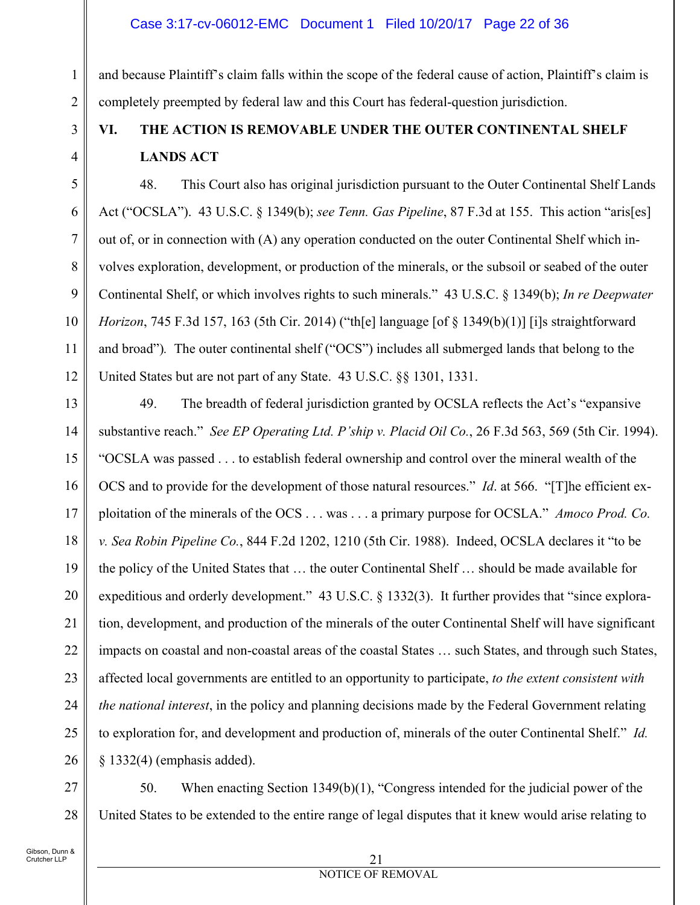### Case 3:17-cv-06012-EMC Document 1 Filed 10/20/17 Page 22 of 36

and because Plaintiff's claim falls within the scope of the federal cause of action, Plaintiff's claim is completely preempted by federal law and this Court has federal-question jurisdiction.

# **VI. THE ACTION IS REMOVABLE UNDER THE OUTER CONTINENTAL SHELF LANDS ACT**

7 9 48. This Court also has original jurisdiction pursuant to the Outer Continental Shelf Lands Act ("OCSLA"). 43 U.S.C. § 1349(b); *see Tenn. Gas Pipeline*, 87 F.3d at 155. This action "aris[es] out of, or in connection with (A) any operation conducted on the outer Continental Shelf which involves exploration, development, or production of the minerals, or the subsoil or seabed of the outer Continental Shelf, or which involves rights to such minerals." 43 U.S.C. § 1349(b); *In re Deepwater Horizon*, 745 F.3d 157, 163 (5th Cir. 2014) ("th[e] language [of § 1349(b)(1)] [i]s straightforward and broad")*.* The outer continental shelf ("OCS") includes all submerged lands that belong to the United States but are not part of any State. 43 U.S.C. §§ 1301, 1331.

13 14 15 16 17 18 19 20 21 22 23 24 25 26 49. The breadth of federal jurisdiction granted by OCSLA reflects the Act's "expansive substantive reach." *See EP Operating Ltd. P'ship v. Placid Oil Co.*, 26 F.3d 563, 569 (5th Cir. 1994). "OCSLA was passed . . . to establish federal ownership and control over the mineral wealth of the OCS and to provide for the development of those natural resources." *Id*. at 566. "[T]he efficient exploitation of the minerals of the OCS . . . was . . . a primary purpose for OCSLA." *Amoco Prod. Co. v. Sea Robin Pipeline Co.*, 844 F.2d 1202, 1210 (5th Cir. 1988). Indeed, OCSLA declares it "to be the policy of the United States that … the outer Continental Shelf … should be made available for expeditious and orderly development." 43 U.S.C. § 1332(3). It further provides that "since exploration, development, and production of the minerals of the outer Continental Shelf will have significant impacts on coastal and non-coastal areas of the coastal States … such States, and through such States, affected local governments are entitled to an opportunity to participate, *to the extent consistent with the national interest*, in the policy and planning decisions made by the Federal Government relating to exploration for, and development and production of, minerals of the outer Continental Shelf." *Id.* § 1332(4) (emphasis added).

27 28 50. When enacting Section 1349(b)(1), "Congress intended for the judicial power of the United States to be extended to the entire range of legal disputes that it knew would arise relating to

1

2

3

4

5

6

8

10

11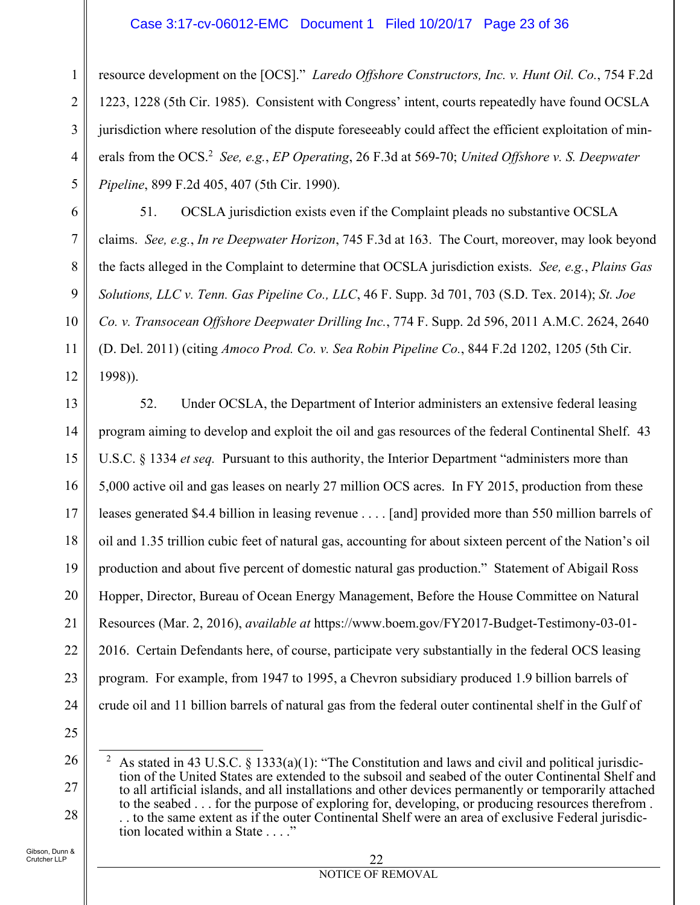### Case 3:17-cv-06012-EMC Document 1 Filed 10/20/17 Page 23 of 36

resource development on the [OCS]." *Laredo Offshore Constructors, Inc. v. Hunt Oil. Co.*, 754 F.2d 1223, 1228 (5th Cir. 1985). Consistent with Congress' intent, courts repeatedly have found OCSLA jurisdiction where resolution of the dispute foreseeably could affect the efficient exploitation of minerals from the OCS.<sup>2</sup> See, e.g., *EP Operating*, 26 F.3d at 569-70; *United Offshore v. S. Deepwater Pipeline*, 899 F.2d 405, 407 (5th Cir. 1990).

51. OCSLA jurisdiction exists even if the Complaint pleads no substantive OCSLA claims. *See, e.g.*, *In re Deepwater Horizon*, 745 F.3d at 163. The Court, moreover, may look beyond the facts alleged in the Complaint to determine that OCSLA jurisdiction exists. *See, e.g.*, *Plains Gas Solutions, LLC v. Tenn. Gas Pipeline Co., LLC*, 46 F. Supp. 3d 701, 703 (S.D. Tex. 2014); *St. Joe Co. v. Transocean Offshore Deepwater Drilling Inc.*, 774 F. Supp. 2d 596, 2011 A.M.C. 2624, 2640 (D. Del. 2011) (citing *Amoco Prod. Co. v. Sea Robin Pipeline Co.*, 844 F.2d 1202, 1205 (5th Cir. 1998)).

13 14 15 16 17 18 19 20 21 22 23 24 52. Under OCSLA, the Department of Interior administers an extensive federal leasing program aiming to develop and exploit the oil and gas resources of the federal Continental Shelf. 43 U.S.C. § 1334 *et seq.* Pursuant to this authority, the Interior Department "administers more than 5,000 active oil and gas leases on nearly 27 million OCS acres. In FY 2015, production from these leases generated \$4.4 billion in leasing revenue . . . . [and] provided more than 550 million barrels of oil and 1.35 trillion cubic feet of natural gas, accounting for about sixteen percent of the Nation's oil production and about five percent of domestic natural gas production." Statement of Abigail Ross Hopper, Director, Bureau of Ocean Energy Management, Before the House Committee on Natural Resources (Mar. 2, 2016), *available at* https://www.boem.gov/FY2017-Budget-Testimony-03-01- 2016. Certain Defendants here, of course, participate very substantially in the federal OCS leasing program. For example, from 1947 to 1995, a Chevron subsidiary produced 1.9 billion barrels of crude oil and 11 billion barrels of natural gas from the federal outer continental shelf in the Gulf of

25

26

27

28

1

2

3

4

5

6

7

8

9

10

11

 $\overline{a}$ 2 As stated in 43 U.S.C. § 1333(a)(1): "The Constitution and laws and civil and political jurisdiction of the United States are extended to the subsoil and seabed of the outer Continental Shelf and to all artificial islands, and all installations and other devices permanently or temporarily attached to the seabed . . . for the purpose of exploring for, developing, or producing resources therefrom . . . to the same extent as if the outer Continental Shelf were an area of exclusive Federal jurisdiction located within a State . . . ."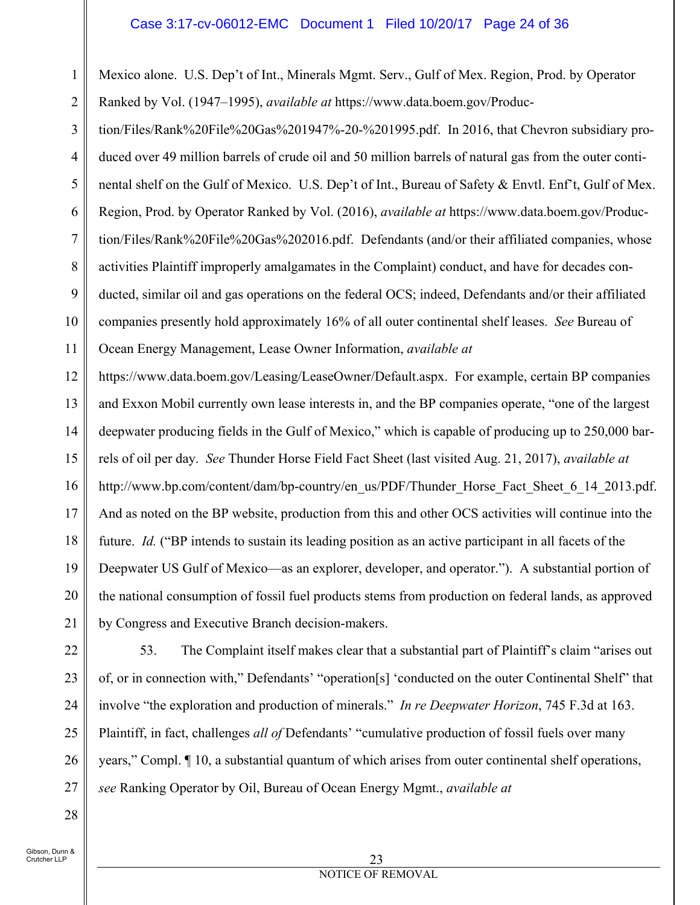#### Case 3:17-cv-06012-EMC Document 1 Filed 10/20/17 Page 24 of 36

1 2 Mexico alone. U.S. Dep't of Int., Minerals Mgmt. Serv., Gulf of Mex. Region, Prod. by Operator Ranked by Vol. (1947–1995), *available at* https://www.data.boem.gov/Produc-

3 4 5 6 7 8 9 10 11 tion/Files/Rank%20File%20Gas%201947%-20-%201995.pdf. In 2016, that Chevron subsidiary produced over 49 million barrels of crude oil and 50 million barrels of natural gas from the outer continental shelf on the Gulf of Mexico. U.S. Dep't of Int., Bureau of Safety & Envtl. Enf't, Gulf of Mex. Region, Prod. by Operator Ranked by Vol. (2016), *available at* https://www.data.boem.gov/Production/Files/Rank%20File%20Gas%202016.pdf. Defendants (and/or their affiliated companies, whose activities Plaintiff improperly amalgamates in the Complaint) conduct, and have for decades conducted, similar oil and gas operations on the federal OCS; indeed, Defendants and/or their affiliated companies presently hold approximately 16% of all outer continental shelf leases. *See* Bureau of Ocean Energy Management, Lease Owner Information, *available at*

12 13 14 15 16 17 18 19 20 21 https://www.data.boem.gov/Leasing/LeaseOwner/Default.aspx. For example, certain BP companies and Exxon Mobil currently own lease interests in, and the BP companies operate, "one of the largest deepwater producing fields in the Gulf of Mexico," which is capable of producing up to 250,000 barrels of oil per day. *See* Thunder Horse Field Fact Sheet (last visited Aug. 21, 2017), *available at*  http://www.bp.com/content/dam/bp-country/en\_us/PDF/Thunder\_Horse\_Fact\_Sheet\_6\_14\_2013.pdf. And as noted on the BP website, production from this and other OCS activities will continue into the future. *Id.* ("BP intends to sustain its leading position as an active participant in all facets of the Deepwater US Gulf of Mexico—as an explorer, developer, and operator."). A substantial portion of the national consumption of fossil fuel products stems from production on federal lands, as approved by Congress and Executive Branch decision-makers.

22 23 24 25 26 27 53. The Complaint itself makes clear that a substantial part of Plaintiff's claim "arises out of, or in connection with," Defendants' "operation[s] 'conducted on the outer Continental Shelf" that involve "the exploration and production of minerals." *In re Deepwater Horizon*, 745 F.3d at 163. Plaintiff, in fact, challenges *all of* Defendants' "cumulative production of fossil fuels over many years," Compl. ¶ 10, a substantial quantum of which arises from outer continental shelf operations, *see* Ranking Operator by Oil, Bureau of Ocean Energy Mgmt., *available at* 

Gibson, Dunn & .<br>Crutcher LLP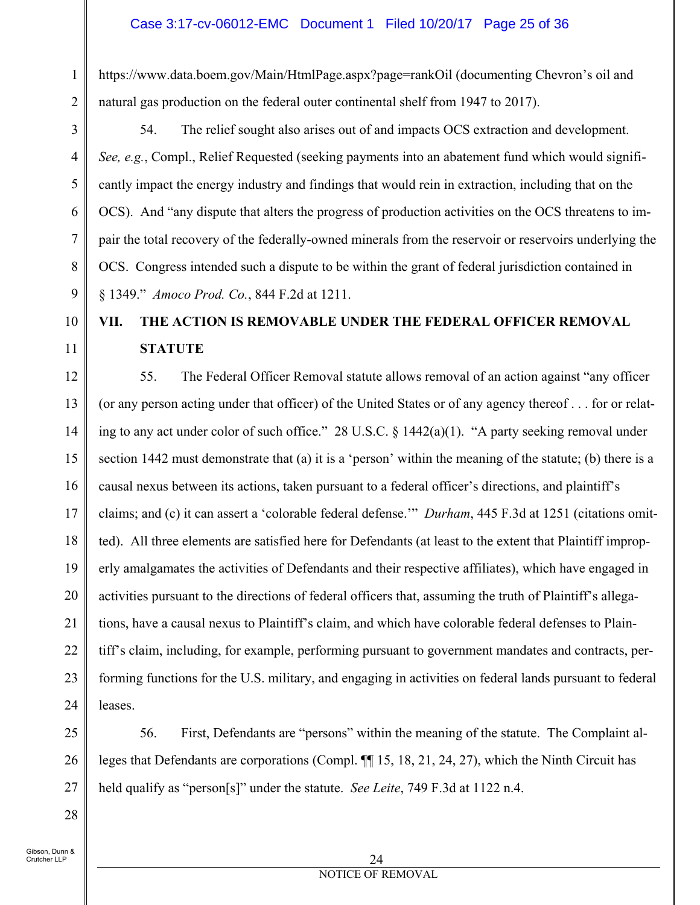https://www.data.boem.gov/Main/HtmlPage.aspx?page=rankOil (documenting Chevron's oil and natural gas production on the federal outer continental shelf from 1947 to 2017).

3 4 5 6 7 8 9 54. The relief sought also arises out of and impacts OCS extraction and development. *See, e.g.*, Compl., Relief Requested (seeking payments into an abatement fund which would significantly impact the energy industry and findings that would rein in extraction, including that on the OCS). And "any dispute that alters the progress of production activities on the OCS threatens to impair the total recovery of the federally-owned minerals from the reservoir or reservoirs underlying the OCS. Congress intended such a dispute to be within the grant of federal jurisdiction contained in § 1349." *Amoco Prod. Co.*, 844 F.2d at 1211.

# **VII. THE ACTION IS REMOVABLE UNDER THE FEDERAL OFFICER REMOVAL STATUTE**

12 13 14 15 16 17 18 19 20 21 22 23 24 55. The Federal Officer Removal statute allows removal of an action against "any officer (or any person acting under that officer) of the United States or of any agency thereof . . . for or relating to any act under color of such office." 28 U.S.C. § 1442(a)(1). "A party seeking removal under section 1442 must demonstrate that (a) it is a 'person' within the meaning of the statute; (b) there is a causal nexus between its actions, taken pursuant to a federal officer's directions, and plaintiff's claims; and (c) it can assert a 'colorable federal defense.'" *Durham*, 445 F.3d at 1251 (citations omitted). All three elements are satisfied here for Defendants (at least to the extent that Plaintiff improperly amalgamates the activities of Defendants and their respective affiliates), which have engaged in activities pursuant to the directions of federal officers that, assuming the truth of Plaintiff's allegations, have a causal nexus to Plaintiff's claim, and which have colorable federal defenses to Plaintiff's claim, including, for example, performing pursuant to government mandates and contracts, performing functions for the U.S. military, and engaging in activities on federal lands pursuant to federal leases.

25 26 27 56. First, Defendants are "persons" within the meaning of the statute. The Complaint alleges that Defendants are corporations (Compl. ¶¶ 15, 18, 21, 24, 27), which the Ninth Circuit has held qualify as "person[s]" under the statute. *See Leite*, 749 F.3d at 1122 n.4.

Gibson, Dunn & Crutcher LLP

28

1

2

10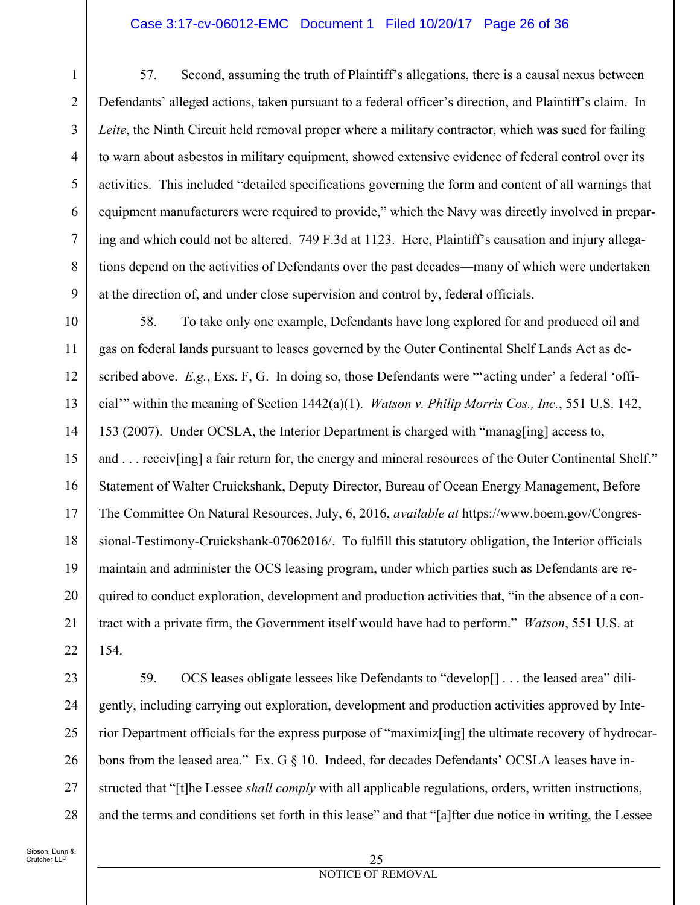#### Case 3:17-cv-06012-EMC Document 1 Filed 10/20/17 Page 26 of 36

57. Second, assuming the truth of Plaintiff's allegations, there is a causal nexus between Defendants' alleged actions, taken pursuant to a federal officer's direction, and Plaintiff's claim. In *Leite*, the Ninth Circuit held removal proper where a military contractor, which was sued for failing to warn about asbestos in military equipment, showed extensive evidence of federal control over its activities. This included "detailed specifications governing the form and content of all warnings that equipment manufacturers were required to provide," which the Navy was directly involved in preparing and which could not be altered. 749 F.3d at 1123. Here, Plaintiff's causation and injury allegations depend on the activities of Defendants over the past decades—many of which were undertaken at the direction of, and under close supervision and control by, federal officials.

10 11 12 13 14 15 16 17 18 19 20 21 22 58. To take only one example, Defendants have long explored for and produced oil and gas on federal lands pursuant to leases governed by the Outer Continental Shelf Lands Act as described above. *E.g.*, Exs. F, G. In doing so, those Defendants were "'acting under' a federal 'official'" within the meaning of Section 1442(a)(1). *Watson v. Philip Morris Cos., Inc.*, 551 U.S. 142, 153 (2007). Under OCSLA, the Interior Department is charged with "manag[ing] access to, and . . . receiv[ing] a fair return for, the energy and mineral resources of the Outer Continental Shelf." Statement of Walter Cruickshank, Deputy Director, Bureau of Ocean Energy Management, Before The Committee On Natural Resources, July, 6, 2016, *available at* https://www.boem.gov/Congressional-Testimony-Cruickshank-07062016/. To fulfill this statutory obligation, the Interior officials maintain and administer the OCS leasing program, under which parties such as Defendants are required to conduct exploration, development and production activities that, "in the absence of a contract with a private firm, the Government itself would have had to perform." *Watson*, 551 U.S. at 154.

28

1

2

3

4

5

6

7

8

9

59. OCS leases obligate lessees like Defendants to "develop[] . . . the leased area" diligently, including carrying out exploration, development and production activities approved by Interior Department officials for the express purpose of "maximiz[ing] the ultimate recovery of hydrocarbons from the leased area." Ex. G § 10. Indeed, for decades Defendants' OCSLA leases have instructed that "[t]he Lessee *shall comply* with all applicable regulations, orders, written instructions, and the terms and conditions set forth in this lease" and that "[a]fter due notice in writing, the Lessee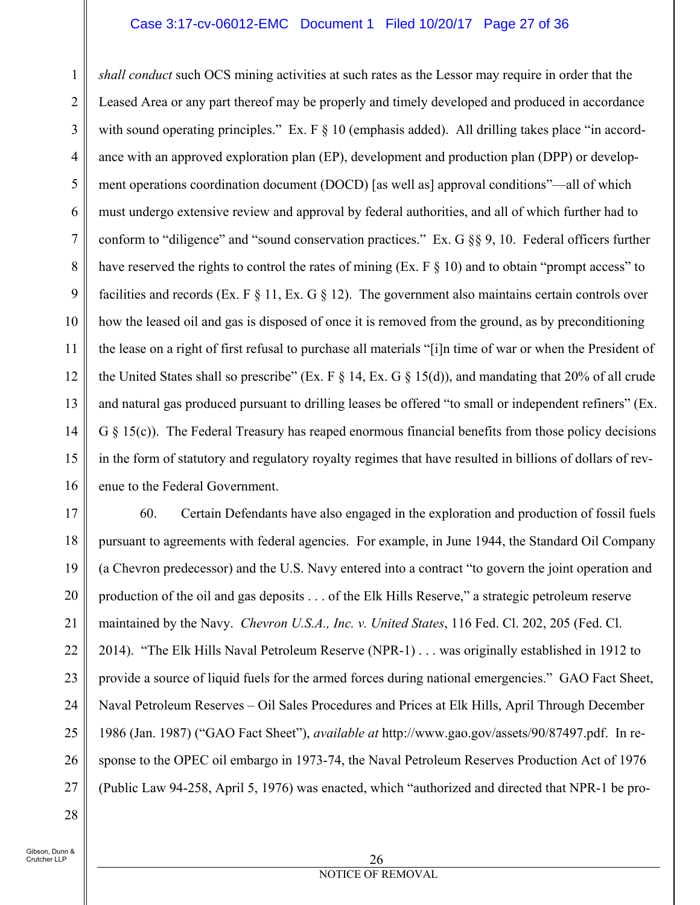### Case 3:17-cv-06012-EMC Document 1 Filed 10/20/17 Page 27 of 36

1 2 3 4 5 6 7 8 9 10 11 12 13 14 15 16 *shall conduct* such OCS mining activities at such rates as the Lessor may require in order that the Leased Area or any part thereof may be properly and timely developed and produced in accordance with sound operating principles." Ex.  $F \& 10$  (emphasis added). All drilling takes place "in accordance with an approved exploration plan (EP), development and production plan (DPP) or development operations coordination document (DOCD) [as well as] approval conditions"—all of which must undergo extensive review and approval by federal authorities, and all of which further had to conform to "diligence" and "sound conservation practices." Ex. G §§ 9, 10. Federal officers further have reserved the rights to control the rates of mining (Ex.  $F \$  10) and to obtain "prompt access" to facilities and records (Ex. F  $\S$  11, Ex. G  $\S$  12). The government also maintains certain controls over how the leased oil and gas is disposed of once it is removed from the ground, as by preconditioning the lease on a right of first refusal to purchase all materials "[i]n time of war or when the President of the United States shall so prescribe" (Ex. F  $\S$  14, Ex. G  $\S$  15(d)), and mandating that 20% of all crude and natural gas produced pursuant to drilling leases be offered "to small or independent refiners" (Ex.  $G \$  15(c)). The Federal Treasury has reaped enormous financial benefits from those policy decisions in the form of statutory and regulatory royalty regimes that have resulted in billions of dollars of revenue to the Federal Government.

17 18 19 20 21 22 23 24 25 26 27 60. Certain Defendants have also engaged in the exploration and production of fossil fuels pursuant to agreements with federal agencies. For example, in June 1944, the Standard Oil Company (a Chevron predecessor) and the U.S. Navy entered into a contract "to govern the joint operation and production of the oil and gas deposits . . . of the Elk Hills Reserve," a strategic petroleum reserve maintained by the Navy. *Chevron U.S.A., Inc. v. United States*, 116 Fed. Cl. 202, 205 (Fed. Cl. 2014). "The Elk Hills Naval Petroleum Reserve (NPR-1) . . . was originally established in 1912 to provide a source of liquid fuels for the armed forces during national emergencies." GAO Fact Sheet, Naval Petroleum Reserves – Oil Sales Procedures and Prices at Elk Hills, April Through December 1986 (Jan. 1987) ("GAO Fact Sheet"), *available at* http://www.gao.gov/assets/90/87497.pdf. In response to the OPEC oil embargo in 1973-74, the Naval Petroleum Reserves Production Act of 1976 (Public Law 94-258, April 5, 1976) was enacted, which "authorized and directed that NPR-1 be pro-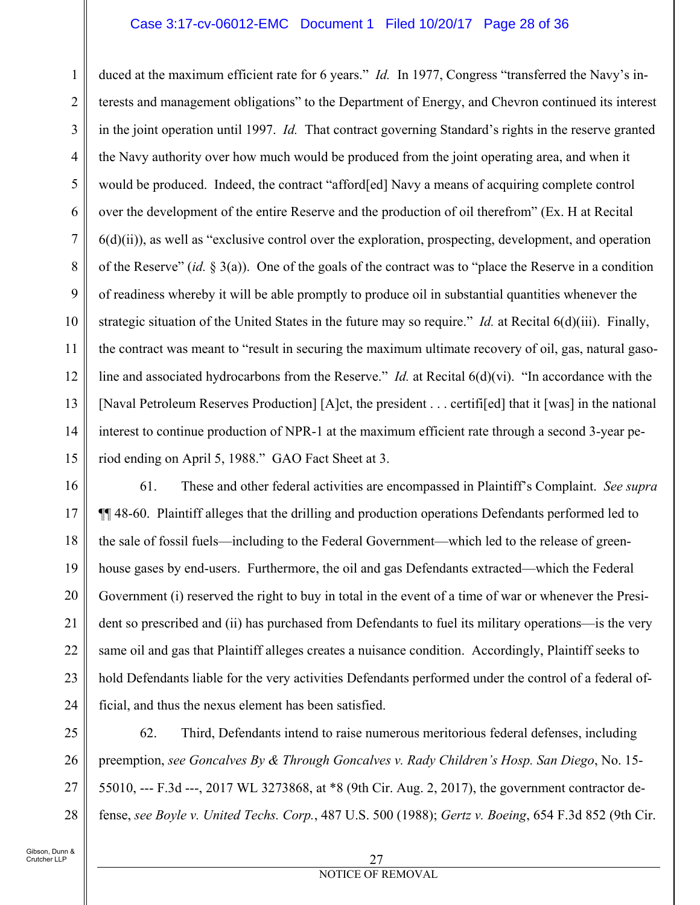#### Case 3:17-cv-06012-EMC Document 1 Filed 10/20/17 Page 28 of 36

1 2 3 4 5 6 7 8 9 10 11 12 13 14 15 duced at the maximum efficient rate for 6 years." *Id.* In 1977, Congress "transferred the Navy's interests and management obligations" to the Department of Energy, and Chevron continued its interest in the joint operation until 1997. *Id.* That contract governing Standard's rights in the reserve granted the Navy authority over how much would be produced from the joint operating area, and when it would be produced. Indeed, the contract "afford[ed] Navy a means of acquiring complete control over the development of the entire Reserve and the production of oil therefrom" (Ex. H at Recital 6(d)(ii)), as well as "exclusive control over the exploration, prospecting, development, and operation of the Reserve" (*id.* § 3(a)). One of the goals of the contract was to "place the Reserve in a condition of readiness whereby it will be able promptly to produce oil in substantial quantities whenever the strategic situation of the United States in the future may so require." *Id.* at Recital 6(d)(iii). Finally, the contract was meant to "result in securing the maximum ultimate recovery of oil, gas, natural gasoline and associated hydrocarbons from the Reserve." *Id.* at Recital 6(d)(vi). "In accordance with the [Naval Petroleum Reserves Production] [A]ct, the president . . . certifi[ed] that it [was] in the national interest to continue production of NPR-1 at the maximum efficient rate through a second 3-year period ending on April 5, 1988." GAO Fact Sheet at 3.

16 17 18 19 20 21 22 23 24 61. These and other federal activities are encompassed in Plaintiff's Complaint. *See supra*  ¶¶ 48-60. Plaintiff alleges that the drilling and production operations Defendants performed led to the sale of fossil fuels—including to the Federal Government—which led to the release of greenhouse gases by end-users. Furthermore, the oil and gas Defendants extracted—which the Federal Government (i) reserved the right to buy in total in the event of a time of war or whenever the President so prescribed and (ii) has purchased from Defendants to fuel its military operations—is the very same oil and gas that Plaintiff alleges creates a nuisance condition. Accordingly, Plaintiff seeks to hold Defendants liable for the very activities Defendants performed under the control of a federal official, and thus the nexus element has been satisfied.

25 26 27 28 62. Third, Defendants intend to raise numerous meritorious federal defenses, including preemption, *see Goncalves By & Through Goncalves v. Rady Children's Hosp. San Diego*, No. 15- 55010, --- F.3d ---, 2017 WL 3273868, at \*8 (9th Cir. Aug. 2, 2017), the government contractor defense, *see Boyle v. United Techs. Corp.*, 487 U.S. 500 (1988); *Gertz v. Boeing*, 654 F.3d 852 (9th Cir.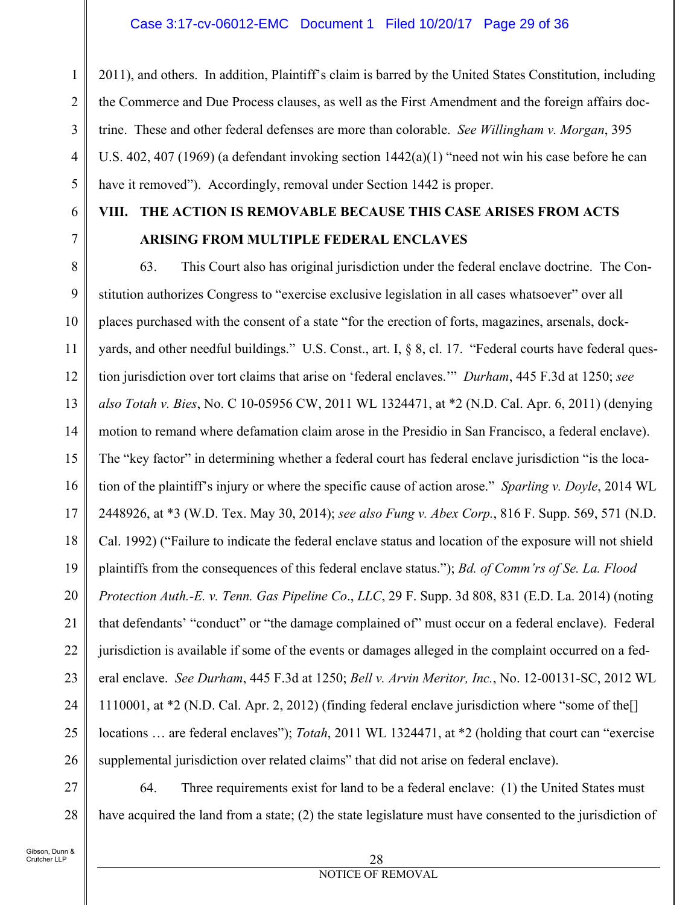1 2 3 4 5 2011), and others. In addition, Plaintiff's claim is barred by the United States Constitution, including the Commerce and Due Process clauses, as well as the First Amendment and the foreign affairs doctrine. These and other federal defenses are more than colorable. *See Willingham v. Morgan*, 395 U.S. 402, 407 (1969) (a defendant invoking section 1442(a)(1) "need not win his case before he can have it removed"). Accordingly, removal under Section 1442 is proper.

6 7

## **VIII. THE ACTION IS REMOVABLE BECAUSE THIS CASE ARISES FROM ACTS ARISING FROM MULTIPLE FEDERAL ENCLAVES**

8 9 10 11 12 13 14 15 16 17 18 19 20 21 22 23 24 25 26 63. This Court also has original jurisdiction under the federal enclave doctrine. The Constitution authorizes Congress to "exercise exclusive legislation in all cases whatsoever" over all places purchased with the consent of a state "for the erection of forts, magazines, arsenals, dockyards, and other needful buildings." U.S. Const., art. I, § 8, cl. 17. "Federal courts have federal question jurisdiction over tort claims that arise on 'federal enclaves.'" *Durham*, 445 F.3d at 1250; *see also Totah v. Bies*, No. C 10-05956 CW, 2011 WL 1324471, at \*2 (N.D. Cal. Apr. 6, 2011) (denying motion to remand where defamation claim arose in the Presidio in San Francisco, a federal enclave). The "key factor" in determining whether a federal court has federal enclave jurisdiction "is the location of the plaintiff's injury or where the specific cause of action arose." *Sparling v. Doyle*, 2014 WL 2448926, at \*3 (W.D. Tex. May 30, 2014); *see also Fung v. Abex Corp.*, 816 F. Supp. 569, 571 (N.D. Cal. 1992) ("Failure to indicate the federal enclave status and location of the exposure will not shield plaintiffs from the consequences of this federal enclave status."); *Bd. of Comm'rs of Se. La. Flood Protection Auth.-E. v. Tenn. Gas Pipeline Co*., *LLC*, 29 F. Supp. 3d 808, 831 (E.D. La. 2014) (noting that defendants' "conduct" or "the damage complained of" must occur on a federal enclave). Federal jurisdiction is available if some of the events or damages alleged in the complaint occurred on a federal enclave. *See Durham*, 445 F.3d at 1250; *Bell v. Arvin Meritor, Inc.*, No. 12-00131-SC, 2012 WL 1110001, at \*2 (N.D. Cal. Apr. 2, 2012) (finding federal enclave jurisdiction where "some of the[] locations … are federal enclaves"); *Totah*, 2011 WL 1324471, at \*2 (holding that court can "exercise supplemental jurisdiction over related claims" that did not arise on federal enclave).

27 28 64. Three requirements exist for land to be a federal enclave: (1) the United States must have acquired the land from a state; (2) the state legislature must have consented to the jurisdiction of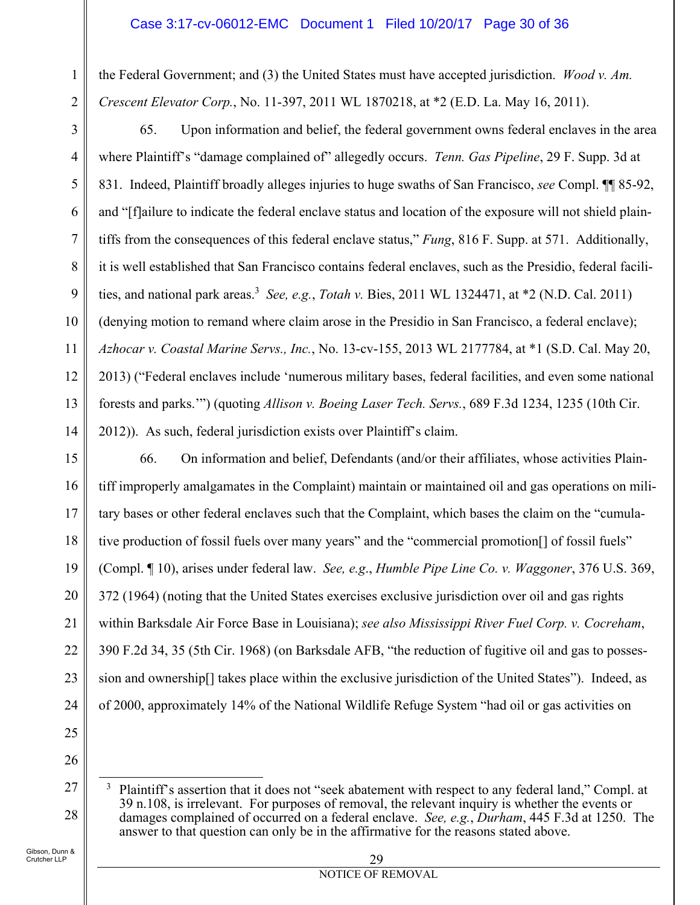the Federal Government; and (3) the United States must have accepted jurisdiction. *Wood v. Am. Crescent Elevator Corp.*, No. 11-397, 2011 WL 1870218, at \*2 (E.D. La. May 16, 2011).

3

4

5

6

8

9

10

11

12

13

14

1

2

7 65. Upon information and belief, the federal government owns federal enclaves in the area where Plaintiff's "damage complained of" allegedly occurs. *Tenn. Gas Pipeline*, 29 F. Supp. 3d at 831. Indeed, Plaintiff broadly alleges injuries to huge swaths of San Francisco, *see* Compl. ¶¶ 85-92, and "[f]ailure to indicate the federal enclave status and location of the exposure will not shield plaintiffs from the consequences of this federal enclave status," *Fung*, 816 F. Supp. at 571. Additionally, it is well established that San Francisco contains federal enclaves, such as the Presidio, federal facilities, and national park areas.3 *See, e.g.*, *Totah v.* Bies, 2011 WL 1324471, at \*2 (N.D. Cal. 2011) (denying motion to remand where claim arose in the Presidio in San Francisco, a federal enclave); *Azhocar v. Coastal Marine Servs., Inc.*, No. 13-cv-155, 2013 WL 2177784, at \*1 (S.D. Cal. May 20, 2013) ("Federal enclaves include 'numerous military bases, federal facilities, and even some national forests and parks.'") (quoting *Allison v. Boeing Laser Tech. Servs.*, 689 F.3d 1234, 1235 (10th Cir. 2012)). As such, federal jurisdiction exists over Plaintiff's claim.

15 16 17 18 19 20 21 22 23 24 66. On information and belief, Defendants (and/or their affiliates, whose activities Plaintiff improperly amalgamates in the Complaint) maintain or maintained oil and gas operations on military bases or other federal enclaves such that the Complaint, which bases the claim on the "cumulative production of fossil fuels over many years" and the "commercial promotion[] of fossil fuels" (Compl. ¶ 10), arises under federal law. *See, e.g*., *Humble Pipe Line Co. v. Waggoner*, 376 U.S. 369, 372 (1964) (noting that the United States exercises exclusive jurisdiction over oil and gas rights within Barksdale Air Force Base in Louisiana); *see also Mississippi River Fuel Corp. v. Cocreham*, 390 F.2d 34, 35 (5th Cir. 1968) (on Barksdale AFB, "the reduction of fugitive oil and gas to possession and ownership[] takes place within the exclusive jurisdiction of the United States"). Indeed, as of 2000, approximately 14% of the National Wildlife Refuge System "had oil or gas activities on

25

26

27

28

 $\overline{a}$ 3 Plaintiff's assertion that it does not "seek abatement with respect to any federal land," Compl. at 39 n.108, is irrelevant. For purposes of removal, the relevant inquiry is whether the events or damages complained of occurred on a federal enclave. *See, e.g.*, *Durham*, 445 F.3d at 1250. The answer to that question can only be in the affirmative for the reasons stated above.

Gibson, Dunn & Crutcher LLP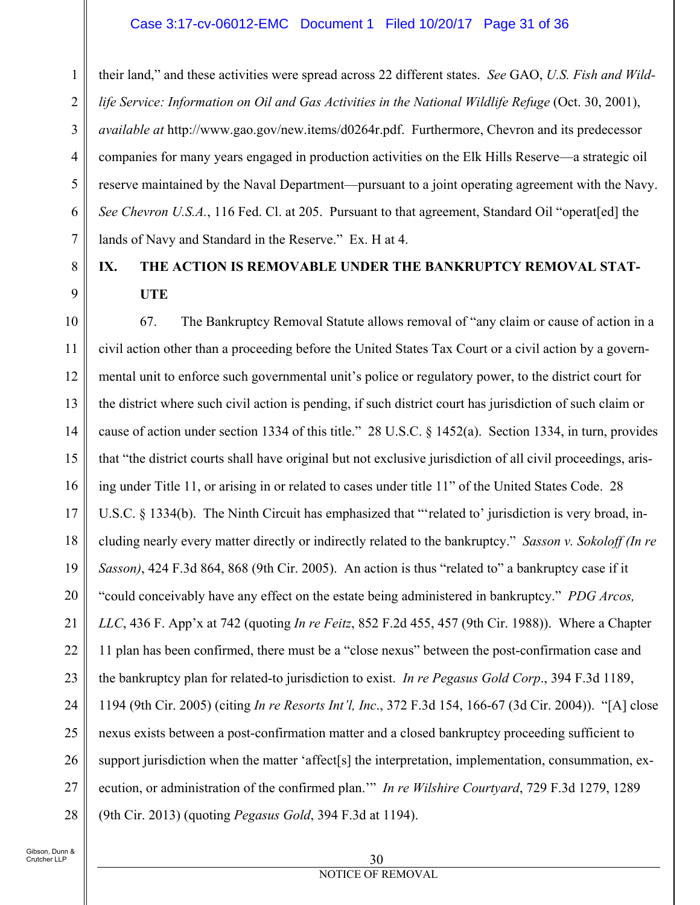#### Case 3:17-cv-06012-EMC Document 1 Filed 10/20/17 Page 31 of 36

1 2 3 4 5 6 7 their land," and these activities were spread across 22 different states. *See* GAO, *U.S. Fish and Wildlife Service: Information on Oil and Gas Activities in the National Wildlife Refuge* (Oct. 30, 2001), *available at* http://www.gao.gov/new.items/d0264r.pdf. Furthermore, Chevron and its predecessor companies for many years engaged in production activities on the Elk Hills Reserve—a strategic oil reserve maintained by the Naval Department—pursuant to a joint operating agreement with the Navy. *See Chevron U.S.A.*, 116 Fed. Cl. at 205. Pursuant to that agreement, Standard Oil "operat[ed] the lands of Navy and Standard in the Reserve." Ex. H at 4.

# **IX. THE ACTION IS REMOVABLE UNDER THE BANKRUPTCY REMOVAL STAT-UTE**

10 11 12 13 14 15 16 17 18 19 20 21 22 23 24 25 26 27 28 67. The Bankruptcy Removal Statute allows removal of "any claim or cause of action in a civil action other than a proceeding before the United States Tax Court or a civil action by a governmental unit to enforce such governmental unit's police or regulatory power, to the district court for the district where such civil action is pending, if such district court has jurisdiction of such claim or cause of action under section 1334 of this title." 28 U.S.C. § 1452(a). Section 1334, in turn, provides that "the district courts shall have original but not exclusive jurisdiction of all civil proceedings, arising under Title 11, or arising in or related to cases under title 11" of the United States Code. 28 U.S.C. § 1334(b). The Ninth Circuit has emphasized that "'related to' jurisdiction is very broad, including nearly every matter directly or indirectly related to the bankruptcy." *Sasson v. Sokoloff (In re Sasson)*, 424 F.3d 864, 868 (9th Cir. 2005). An action is thus "related to" a bankruptcy case if it "could conceivably have any effect on the estate being administered in bankruptcy." *PDG Arcos, LLC*, 436 F. App'x at 742 (quoting *In re Feitz*, 852 F.2d 455, 457 (9th Cir. 1988)). Where a Chapter 11 plan has been confirmed, there must be a "close nexus" between the post-confirmation case and the bankruptcy plan for related-to jurisdiction to exist. *In re Pegasus Gold Corp*., 394 F.3d 1189, 1194 (9th Cir. 2005) (citing *In re Resorts Int'l, Inc*., 372 F.3d 154, 166-67 (3d Cir. 2004)). "[A] close nexus exists between a post-confirmation matter and a closed bankruptcy proceeding sufficient to support jurisdiction when the matter 'affect[s] the interpretation, implementation, consummation, execution, or administration of the confirmed plan.'" *In re Wilshire Courtyard*, 729 F.3d 1279, 1289 (9th Cir. 2013) (quoting *Pegasus Gold*, 394 F.3d at 1194).

8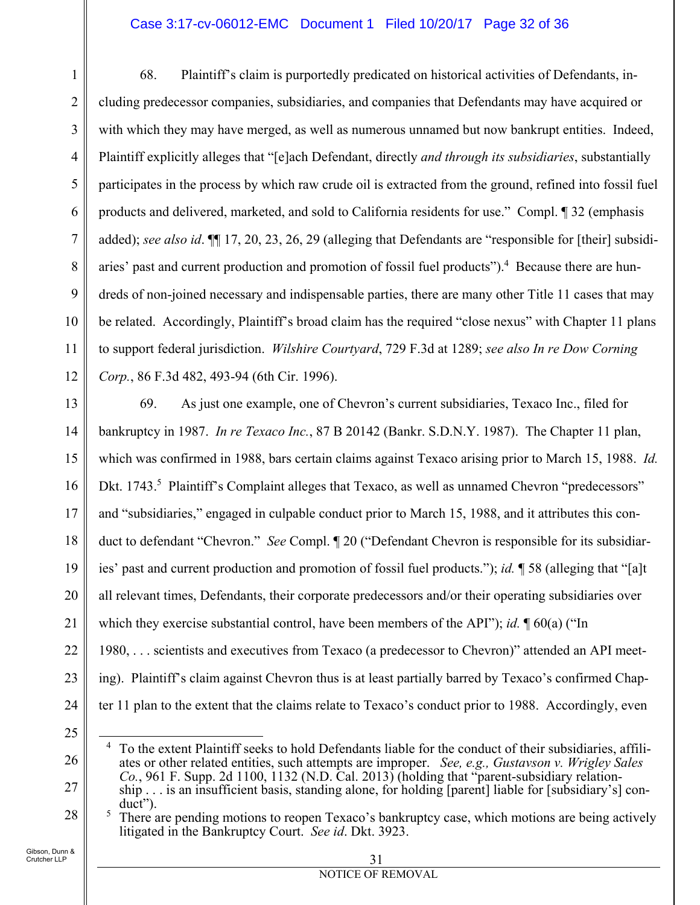### Case 3:17-cv-06012-EMC Document 1 Filed 10/20/17 Page 32 of 36

1 2 3 4 5 6 7 8 9 10 11 12 68. Plaintiff's claim is purportedly predicated on historical activities of Defendants, including predecessor companies, subsidiaries, and companies that Defendants may have acquired or with which they may have merged, as well as numerous unnamed but now bankrupt entities. Indeed, Plaintiff explicitly alleges that "[e]ach Defendant, directly *and through its subsidiaries*, substantially participates in the process by which raw crude oil is extracted from the ground, refined into fossil fuel products and delivered, marketed, and sold to California residents for use." Compl. ¶ 32 (emphasis added); *see also id*. ¶¶ 17, 20, 23, 26, 29 (alleging that Defendants are "responsible for [their] subsidiaries' past and current production and promotion of fossil fuel products").<sup>4</sup> Because there are hundreds of non-joined necessary and indispensable parties, there are many other Title 11 cases that may be related. Accordingly, Plaintiff's broad claim has the required "close nexus" with Chapter 11 plans to support federal jurisdiction. *Wilshire Courtyard*, 729 F.3d at 1289; *see also In re Dow Corning Corp.*, 86 F.3d 482, 493-94 (6th Cir. 1996).

13 14 15 16 17 18 19 20 21 22 23 24 69. As just one example, one of Chevron's current subsidiaries, Texaco Inc., filed for bankruptcy in 1987. *In re Texaco Inc.*, 87 B 20142 (Bankr. S.D.N.Y. 1987). The Chapter 11 plan, which was confirmed in 1988, bars certain claims against Texaco arising prior to March 15, 1988. *Id.* Dkt. 1743.<sup>5</sup> Plaintiff's Complaint alleges that Texaco, as well as unnamed Chevron "predecessors" and "subsidiaries," engaged in culpable conduct prior to March 15, 1988, and it attributes this conduct to defendant "Chevron." *See* Compl. ¶ 20 ("Defendant Chevron is responsible for its subsidiaries' past and current production and promotion of fossil fuel products."); *id.* ¶ 58 (alleging that "[a]t all relevant times, Defendants, their corporate predecessors and/or their operating subsidiaries over which they exercise substantial control, have been members of the API"); *id.*  $\sqrt{\frac{60(a)}{n}}$ 1980, . . . scientists and executives from Texaco (a predecessor to Chevron)" attended an API meeting). Plaintiff's claim against Chevron thus is at least partially barred by Texaco's confirmed Chapter 11 plan to the extent that the claims relate to Texaco's conduct prior to 1988. Accordingly, even

25

26

27

28

#### 31 NOTICE OF REMOVAL

 $\overline{a}$ <sup>4</sup> To the extent Plaintiff seeks to hold Defendants liable for the conduct of their subsidiaries, affiliates or other related entities, such attempts are improper. *See, e.g., Gustavson v. Wrigley Sales Co.*, 961 F. Supp. 2d 1100, 1132 (N.D. Cal. 2013) (holding that "parent-subsidiary relationship . . . is an insufficient basis, standing alone, for holding [parent] liable for [subsidiary's] con $div's$ .

There are pending motions to reopen Texaco's bankruptcy case, which motions are being actively litigated in the Bankruptcy Court. *See id*. Dkt. 3923.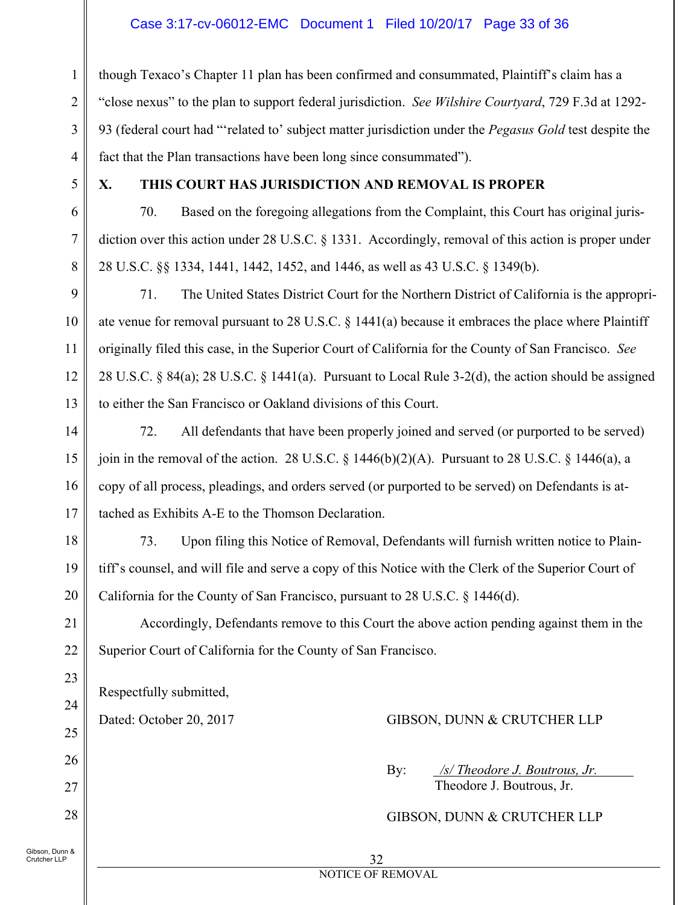### Case 3:17-cv-06012-EMC Document 1 Filed 10/20/17 Page 33 of 36

though Texaco's Chapter 11 plan has been confirmed and consummated, Plaintiff's claim has a "close nexus" to the plan to support federal jurisdiction. *See Wilshire Courtyard*, 729 F.3d at 1292- 93 (federal court had "'related to' subject matter jurisdiction under the *Pegasus Gold* test despite the fact that the Plan transactions have been long since consummated").

1

2

3

4

5

6

7

8

9

10

11

12

13

14

15

16

17

18

19

20

21

22

23

24

25

26

27

28

### **X. THIS COURT HAS JURISDICTION AND REMOVAL IS PROPER**

70. Based on the foregoing allegations from the Complaint, this Court has original jurisdiction over this action under 28 U.S.C. § 1331. Accordingly, removal of this action is proper under 28 U.S.C. §§ 1334, 1441, 1442, 1452, and 1446, as well as 43 U.S.C. § 1349(b).

71. The United States District Court for the Northern District of California is the appropriate venue for removal pursuant to 28 U.S.C. § 1441(a) because it embraces the place where Plaintiff originally filed this case, in the Superior Court of California for the County of San Francisco. *See* 28 U.S.C. § 84(a); 28 U.S.C. § 1441(a). Pursuant to Local Rule 3-2(d), the action should be assigned to either the San Francisco or Oakland divisions of this Court.

72. All defendants that have been properly joined and served (or purported to be served) join in the removal of the action. 28 U.S.C.  $\S$  1446(b)(2)(A). Pursuant to 28 U.S.C.  $\S$  1446(a), a copy of all process, pleadings, and orders served (or purported to be served) on Defendants is attached as Exhibits A-E to the Thomson Declaration.

73. Upon filing this Notice of Removal, Defendants will furnish written notice to Plaintiff's counsel, and will file and serve a copy of this Notice with the Clerk of the Superior Court of California for the County of San Francisco, pursuant to 28 U.S.C. § 1446(d).

Accordingly, Defendants remove to this Court the above action pending against them in the Superior Court of California for the County of San Francisco.

Respectfully submitted,

Dated: October 20, 2017 GIBSON, DUNN & CRUTCHER LLP

 By: */s/ Theodore J. Boutrous, Jr.*  Theodore J. Boutrous, Jr.

GIBSON, DUNN & CRUTCHER LLP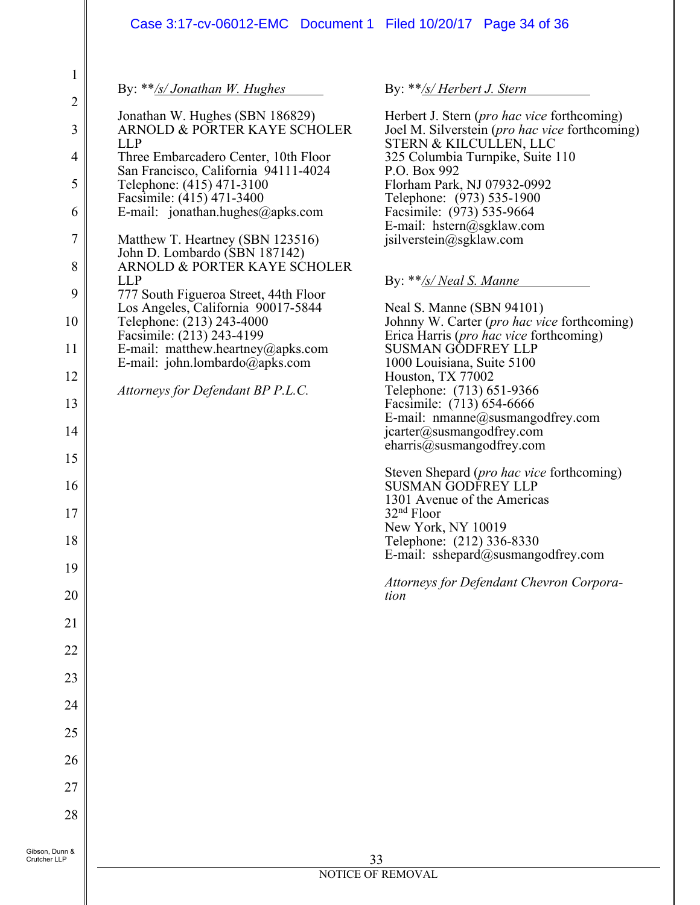|                                                                                                                                                                                                              | Case 3:17-cv-06012-EMC  Document 1  Filed 10/20/17  Page 34  of 36                                                                                                                                                                                                                                                                                                                                                                                                                                                                                                                                                                                                  |                                                                                                                                                                                                                                                                                                                                                                                                                                                                                                                                                                                                                                                                                                                                                                                                                                                                                                                                                                                                                                       |
|--------------------------------------------------------------------------------------------------------------------------------------------------------------------------------------------------------------|---------------------------------------------------------------------------------------------------------------------------------------------------------------------------------------------------------------------------------------------------------------------------------------------------------------------------------------------------------------------------------------------------------------------------------------------------------------------------------------------------------------------------------------------------------------------------------------------------------------------------------------------------------------------|---------------------------------------------------------------------------------------------------------------------------------------------------------------------------------------------------------------------------------------------------------------------------------------------------------------------------------------------------------------------------------------------------------------------------------------------------------------------------------------------------------------------------------------------------------------------------------------------------------------------------------------------------------------------------------------------------------------------------------------------------------------------------------------------------------------------------------------------------------------------------------------------------------------------------------------------------------------------------------------------------------------------------------------|
| $\mathbf 1$<br>$\overline{2}$<br>3<br>$\overline{4}$<br>5<br>6<br>$\overline{7}$<br>8<br>9<br>10<br>11<br>12<br>13<br>14<br>15<br>16<br>17<br>18<br>19<br>20<br>21<br>22<br>23<br>24<br>25<br>26<br>27<br>28 | By: **/s/ Jonathan W. Hughes<br>Jonathan W. Hughes (SBN 186829)<br>ARNOLD & PORTER KAYE SCHOLER<br><b>LLP</b><br>Three Embarcadero Center, 10th Floor<br>San Francisco, California 94111-4024<br>Telephone: (415) 471-3100<br>Facsimile: (415) 471-3400<br>E-mail: jonathan.hughes@apks.com<br>Matthew T. Heartney (SBN 123516)<br>John D. Lombardo (SBN 187142)<br>ARNOLD & PORTER KAYE SCHOLER<br><b>LLP</b><br>777 South Figueroa Street, 44th Floor<br>Los Angeles, California 90017-5844<br>Telephone: (213) 243-4000<br>Facsimile: (213) 243-4199<br>E-mail: matthew.heartney@apks.com<br>E-mail: john.lombardo@apks.com<br>Attorneys for Defendant BP P.L.C. | By: **/s/ Herbert J. Stern<br>Herbert J. Stern ( <i>pro hac vice</i> forthcoming)<br>Joel M. Silverstein (pro hac vice forthcoming)<br>STERN & KILCULLEN, LLC<br>325 Columbia Turnpike, Suite 110<br>P.O. Box 992<br>Florham Park, NJ 07932-0992<br>Telephone: (973) 535-1900<br>Facsimile: (973) 535-9664<br>E-mail: hstern@sgklaw.com<br>jsilverstein@sgklaw.com<br>By: $**$ /s/ Neal S. Manne<br>Neal S. Manne (SBN 94101)<br>Johnny W. Carter (pro hac vice forthcoming)<br>Erica Harris (pro hac vice forthcoming)<br><b>SUSMAN GODFREY LLP</b><br>1000 Louisiana, Suite 5100<br>Houston, TX 77002<br>Telephone: (713) 651-9366<br>Facsimile: (713) 654-6666<br>E-mail: nmanne@susmangodfrey.com<br>jcarter@susmangodfrey.com<br>eharris@susmangodfrey.com<br>Steven Shepard (pro hac vice forthcoming)<br><b>SUSMAN GODFREY LLP</b><br>1301 Avenue of the Americas<br>$32nd$ Floor<br>New York, NY 10019<br>Telephone: (212) 336-8330<br>E-mail: sshepard@susmangodfrey.com<br>Attorneys for Defendant Chevron Corpora-<br>tion |
| Gibson, Dunn &<br>Crutcher LLP                                                                                                                                                                               | 33<br>NOTICE OF REMOVAL                                                                                                                                                                                                                                                                                                                                                                                                                                                                                                                                                                                                                                             |                                                                                                                                                                                                                                                                                                                                                                                                                                                                                                                                                                                                                                                                                                                                                                                                                                                                                                                                                                                                                                       |
|                                                                                                                                                                                                              |                                                                                                                                                                                                                                                                                                                                                                                                                                                                                                                                                                                                                                                                     |                                                                                                                                                                                                                                                                                                                                                                                                                                                                                                                                                                                                                                                                                                                                                                                                                                                                                                                                                                                                                                       |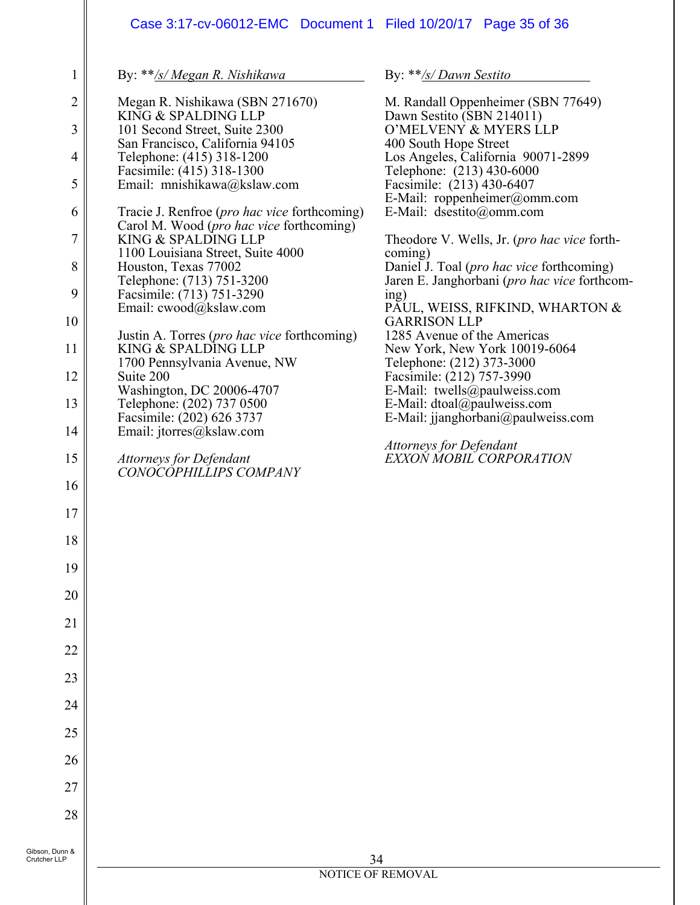|                | Case 3:17-cv-06012-EMC Document 1 Filed 10/20/17 Page 35 of 36  |                                                                   |
|----------------|-----------------------------------------------------------------|-------------------------------------------------------------------|
| 1              | By: **/s/ Megan R. Nishikawa                                    | By: **/s/ Dawn Sestito                                            |
| $\overline{2}$ | Megan R. Nishikawa (SBN 271670)                                 | M. Randall Oppenheimer (SBN 77649)                                |
| $\overline{3}$ | KING & SPALDING LLP<br>101 Second Street, Suite 2300            | Dawn Sestito (SBN 214011)<br>O'MELVENY & MYERS LLP                |
| 4              | San Francisco, California 94105<br>Telephone: (415) 318-1200    | 400 South Hope Street<br>Los Angeles, California 90071-2899       |
| 5              | Facsimile: (415) 318-1300<br>Email: mnishikawa@kslaw.com        | Telephone: (213) 430-6000<br>Facsimile: (213) 430-6407            |
| 6              | Tracie J. Renfroe ( <i>pro hac vice</i> forthcoming)            | E-Mail: roppenheimer@omm.com<br>E-Mail: dsestito@omm.com          |
| $\overline{7}$ | Carol M. Wood (pro hac vice forthcoming)<br>KING & SPALDING LLP | Theodore V. Wells, Jr. (pro hac vice forth-                       |
| 8              | 1100 Louisiana Street, Suite 4000<br>Houston, Texas 77002       | coming)<br>Daniel J. Toal (pro hac vice forthcoming)              |
| 9              | Telephone: (713) 751-3200<br>Facsimile: (713) 751-3290          | Jaren E. Janghorbani (pro hac vice forthcom-                      |
|                | Email: cwood@kslaw.com                                          | ing)<br>PAUL, WEISS, RIFKIND, WHARTON &                           |
| 10             | Justin A. Torres (pro hac vice forthcoming)                     | <b>GARRISON LLP</b><br>1285 Avenue of the Americas                |
| 11             | KING & SPALDING LLP<br>1700 Pennsylvania Avenue, NW             | New York, New York 10019-6064<br>Telephone: (212) 373-3000        |
| 12             | Suite 200<br>Washington, DC 20006-4707                          | Facsimile: (212) 757-3990<br>E-Mail: twells@paulweiss.com         |
| 13             | Telephone: (202) 737 0500<br>Facsimile: (202) 626 3737          | E-Mail: dtoal@paulweiss.com<br>E-Mail: jjanghorbani@paulweiss.com |
| 14             | Email: jtorres@kslaw.com                                        |                                                                   |
| 15             | Attorneys for Defendant<br>CONOCOPHILLIPS COMPANY               | Attorneys for Defendant<br>EXXON MOBIL CORPORATION                |
| 16             |                                                                 |                                                                   |
| $17$           |                                                                 |                                                                   |
| 18             |                                                                 |                                                                   |
| 19             |                                                                 |                                                                   |
| 20             |                                                                 |                                                                   |
| 21             |                                                                 |                                                                   |
| 22             |                                                                 |                                                                   |
| 23             |                                                                 |                                                                   |
| 24             |                                                                 |                                                                   |
| 25             |                                                                 |                                                                   |
| 26             |                                                                 |                                                                   |
| 27             |                                                                 |                                                                   |
| 28             |                                                                 |                                                                   |
| Gibson, Dunn & |                                                                 |                                                                   |
| Crutcher LLP   |                                                                 | 34<br><b>NOTICE OF REMOVAL</b>                                    |
|                |                                                                 |                                                                   |